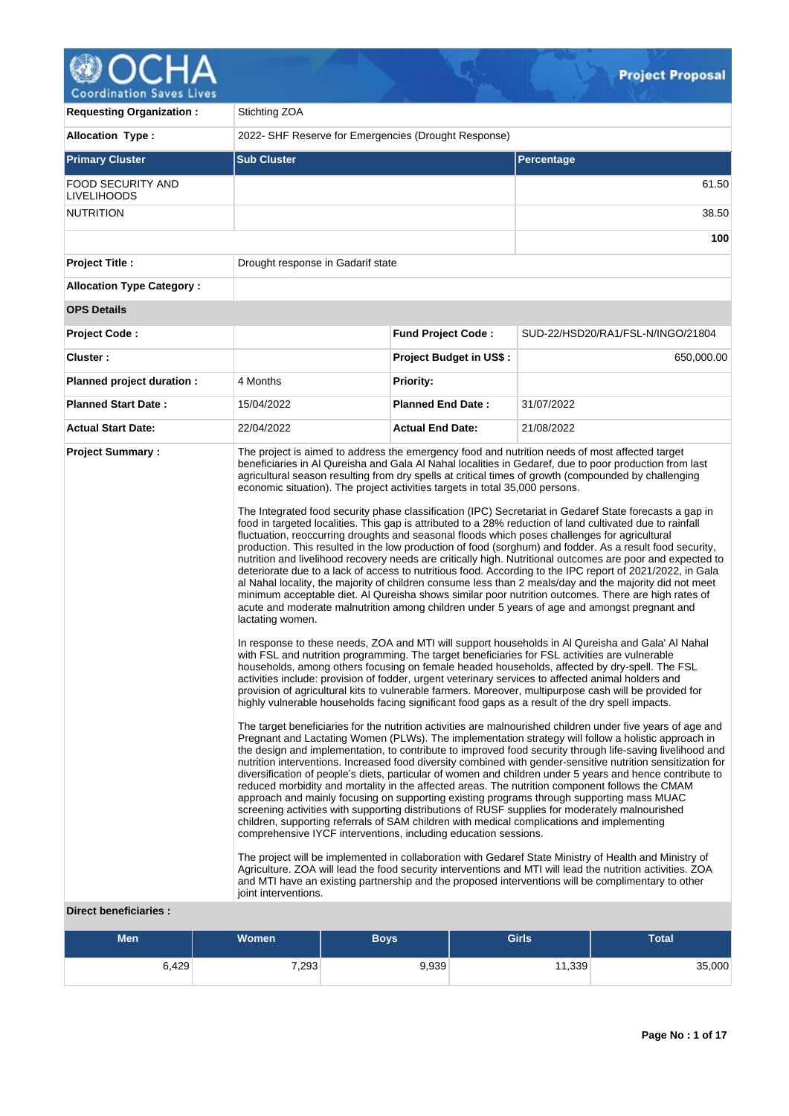# ۵ Δ

**Coordination Saves Lives** 

| <b>Requesting Organization:</b>                | Stichting ZOA                            |                                                                                                                                                                                                                                                                                                                                                                                                                                                                                                                                                                                                                                                                                                                                                                                                                                                                                                                                                                                                                                                                                                                                                                                                                                                                                                                                                                                                                                                                                                                                                                                                                                                                                                                                                                                                                                                                                                                                                                                                                                                                                                                                                                                                                                                             |                                |              |                                                                                                                                                                                                                                                                                                                                                                                                                                                                                                                                                                                                                                                                                                                                                                                                                                                                                                                                                                                                                |  |  |  |  |
|------------------------------------------------|------------------------------------------|-------------------------------------------------------------------------------------------------------------------------------------------------------------------------------------------------------------------------------------------------------------------------------------------------------------------------------------------------------------------------------------------------------------------------------------------------------------------------------------------------------------------------------------------------------------------------------------------------------------------------------------------------------------------------------------------------------------------------------------------------------------------------------------------------------------------------------------------------------------------------------------------------------------------------------------------------------------------------------------------------------------------------------------------------------------------------------------------------------------------------------------------------------------------------------------------------------------------------------------------------------------------------------------------------------------------------------------------------------------------------------------------------------------------------------------------------------------------------------------------------------------------------------------------------------------------------------------------------------------------------------------------------------------------------------------------------------------------------------------------------------------------------------------------------------------------------------------------------------------------------------------------------------------------------------------------------------------------------------------------------------------------------------------------------------------------------------------------------------------------------------------------------------------------------------------------------------------------------------------------------------------|--------------------------------|--------------|----------------------------------------------------------------------------------------------------------------------------------------------------------------------------------------------------------------------------------------------------------------------------------------------------------------------------------------------------------------------------------------------------------------------------------------------------------------------------------------------------------------------------------------------------------------------------------------------------------------------------------------------------------------------------------------------------------------------------------------------------------------------------------------------------------------------------------------------------------------------------------------------------------------------------------------------------------------------------------------------------------------|--|--|--|--|
| <b>Allocation Type:</b>                        |                                          | 2022- SHF Reserve for Emergencies (Drought Response)                                                                                                                                                                                                                                                                                                                                                                                                                                                                                                                                                                                                                                                                                                                                                                                                                                                                                                                                                                                                                                                                                                                                                                                                                                                                                                                                                                                                                                                                                                                                                                                                                                                                                                                                                                                                                                                                                                                                                                                                                                                                                                                                                                                                        |                                |              |                                                                                                                                                                                                                                                                                                                                                                                                                                                                                                                                                                                                                                                                                                                                                                                                                                                                                                                                                                                                                |  |  |  |  |
| <b>Primary Cluster</b>                         | <b>Sub Cluster</b>                       |                                                                                                                                                                                                                                                                                                                                                                                                                                                                                                                                                                                                                                                                                                                                                                                                                                                                                                                                                                                                                                                                                                                                                                                                                                                                                                                                                                                                                                                                                                                                                                                                                                                                                                                                                                                                                                                                                                                                                                                                                                                                                                                                                                                                                                                             |                                | Percentage   |                                                                                                                                                                                                                                                                                                                                                                                                                                                                                                                                                                                                                                                                                                                                                                                                                                                                                                                                                                                                                |  |  |  |  |
| <b>FOOD SECURITY AND</b><br><b>LIVELIHOODS</b> |                                          |                                                                                                                                                                                                                                                                                                                                                                                                                                                                                                                                                                                                                                                                                                                                                                                                                                                                                                                                                                                                                                                                                                                                                                                                                                                                                                                                                                                                                                                                                                                                                                                                                                                                                                                                                                                                                                                                                                                                                                                                                                                                                                                                                                                                                                                             |                                |              | 61.50                                                                                                                                                                                                                                                                                                                                                                                                                                                                                                                                                                                                                                                                                                                                                                                                                                                                                                                                                                                                          |  |  |  |  |
| <b>NUTRITION</b>                               |                                          |                                                                                                                                                                                                                                                                                                                                                                                                                                                                                                                                                                                                                                                                                                                                                                                                                                                                                                                                                                                                                                                                                                                                                                                                                                                                                                                                                                                                                                                                                                                                                                                                                                                                                                                                                                                                                                                                                                                                                                                                                                                                                                                                                                                                                                                             |                                |              | 38.50                                                                                                                                                                                                                                                                                                                                                                                                                                                                                                                                                                                                                                                                                                                                                                                                                                                                                                                                                                                                          |  |  |  |  |
|                                                |                                          |                                                                                                                                                                                                                                                                                                                                                                                                                                                                                                                                                                                                                                                                                                                                                                                                                                                                                                                                                                                                                                                                                                                                                                                                                                                                                                                                                                                                                                                                                                                                                                                                                                                                                                                                                                                                                                                                                                                                                                                                                                                                                                                                                                                                                                                             |                                | 100          |                                                                                                                                                                                                                                                                                                                                                                                                                                                                                                                                                                                                                                                                                                                                                                                                                                                                                                                                                                                                                |  |  |  |  |
| <b>Project Title:</b>                          | Drought response in Gadarif state        |                                                                                                                                                                                                                                                                                                                                                                                                                                                                                                                                                                                                                                                                                                                                                                                                                                                                                                                                                                                                                                                                                                                                                                                                                                                                                                                                                                                                                                                                                                                                                                                                                                                                                                                                                                                                                                                                                                                                                                                                                                                                                                                                                                                                                                                             |                                |              |                                                                                                                                                                                                                                                                                                                                                                                                                                                                                                                                                                                                                                                                                                                                                                                                                                                                                                                                                                                                                |  |  |  |  |
| <b>Allocation Type Category:</b>               |                                          |                                                                                                                                                                                                                                                                                                                                                                                                                                                                                                                                                                                                                                                                                                                                                                                                                                                                                                                                                                                                                                                                                                                                                                                                                                                                                                                                                                                                                                                                                                                                                                                                                                                                                                                                                                                                                                                                                                                                                                                                                                                                                                                                                                                                                                                             |                                |              |                                                                                                                                                                                                                                                                                                                                                                                                                                                                                                                                                                                                                                                                                                                                                                                                                                                                                                                                                                                                                |  |  |  |  |
| <b>OPS Details</b>                             |                                          |                                                                                                                                                                                                                                                                                                                                                                                                                                                                                                                                                                                                                                                                                                                                                                                                                                                                                                                                                                                                                                                                                                                                                                                                                                                                                                                                                                                                                                                                                                                                                                                                                                                                                                                                                                                                                                                                                                                                                                                                                                                                                                                                                                                                                                                             |                                |              |                                                                                                                                                                                                                                                                                                                                                                                                                                                                                                                                                                                                                                                                                                                                                                                                                                                                                                                                                                                                                |  |  |  |  |
| <b>Project Code:</b>                           |                                          | <b>Fund Project Code:</b>                                                                                                                                                                                                                                                                                                                                                                                                                                                                                                                                                                                                                                                                                                                                                                                                                                                                                                                                                                                                                                                                                                                                                                                                                                                                                                                                                                                                                                                                                                                                                                                                                                                                                                                                                                                                                                                                                                                                                                                                                                                                                                                                                                                                                                   |                                |              | SUD-22/HSD20/RA1/FSL-N/INGO/21804                                                                                                                                                                                                                                                                                                                                                                                                                                                                                                                                                                                                                                                                                                                                                                                                                                                                                                                                                                              |  |  |  |  |
| Cluster:                                       |                                          |                                                                                                                                                                                                                                                                                                                                                                                                                                                                                                                                                                                                                                                                                                                                                                                                                                                                                                                                                                                                                                                                                                                                                                                                                                                                                                                                                                                                                                                                                                                                                                                                                                                                                                                                                                                                                                                                                                                                                                                                                                                                                                                                                                                                                                                             | <b>Project Budget in US\$:</b> |              | 650,000.00                                                                                                                                                                                                                                                                                                                                                                                                                                                                                                                                                                                                                                                                                                                                                                                                                                                                                                                                                                                                     |  |  |  |  |
| Planned project duration :                     | 4 Months                                 | <b>Priority:</b>                                                                                                                                                                                                                                                                                                                                                                                                                                                                                                                                                                                                                                                                                                                                                                                                                                                                                                                                                                                                                                                                                                                                                                                                                                                                                                                                                                                                                                                                                                                                                                                                                                                                                                                                                                                                                                                                                                                                                                                                                                                                                                                                                                                                                                            |                                |              |                                                                                                                                                                                                                                                                                                                                                                                                                                                                                                                                                                                                                                                                                                                                                                                                                                                                                                                                                                                                                |  |  |  |  |
| <b>Planned Start Date:</b>                     | 15/04/2022                               | <b>Planned End Date:</b>                                                                                                                                                                                                                                                                                                                                                                                                                                                                                                                                                                                                                                                                                                                                                                                                                                                                                                                                                                                                                                                                                                                                                                                                                                                                                                                                                                                                                                                                                                                                                                                                                                                                                                                                                                                                                                                                                                                                                                                                                                                                                                                                                                                                                                    |                                | 31/07/2022   |                                                                                                                                                                                                                                                                                                                                                                                                                                                                                                                                                                                                                                                                                                                                                                                                                                                                                                                                                                                                                |  |  |  |  |
| <b>Actual Start Date:</b>                      | 22/04/2022                               | <b>Actual End Date:</b>                                                                                                                                                                                                                                                                                                                                                                                                                                                                                                                                                                                                                                                                                                                                                                                                                                                                                                                                                                                                                                                                                                                                                                                                                                                                                                                                                                                                                                                                                                                                                                                                                                                                                                                                                                                                                                                                                                                                                                                                                                                                                                                                                                                                                                     |                                | 21/08/2022   |                                                                                                                                                                                                                                                                                                                                                                                                                                                                                                                                                                                                                                                                                                                                                                                                                                                                                                                                                                                                                |  |  |  |  |
|                                                | lactating women.<br>joint interventions. | beneficiaries in Al Qureisha and Gala Al Nahal localities in Gedaref, due to poor production from last<br>agricultural season resulting from dry spells at critical times of growth (compounded by challenging<br>economic situation). The project activities targets in total 35,000 persons.<br>The Integrated food security phase classification (IPC) Secretariat in Gedaref State forecasts a gap in<br>food in targeted localities. This gap is attributed to a 28% reduction of land cultivated due to rainfall<br>fluctuation, reoccurring droughts and seasonal floods which poses challenges for agricultural<br>minimum acceptable diet. Al Qureisha shows similar poor nutrition outcomes. There are high rates of<br>acute and moderate malnutrition among children under 5 years of age and amongst pregnant and<br>In response to these needs, ZOA and MTI will support households in AI Qureisha and Gala' AI Nahal<br>with FSL and nutrition programming. The target beneficiaries for FSL activities are vulnerable<br>households, among others focusing on female headed households, affected by dry-spell. The FSL<br>activities include: provision of fodder, urgent veterinary services to affected animal holders and<br>provision of agricultural kits to vulnerable farmers. Moreover, multipurpose cash will be provided for<br>highly vulnerable households facing significant food gaps as a result of the dry spell impacts.<br>reduced morbidity and mortality in the affected areas. The nutrition component follows the CMAM<br>approach and mainly focusing on supporting existing programs through supporting mass MUAC<br>screening activities with supporting distributions of RUSF supplies for moderately malnourished<br>children, supporting referrals of SAM children with medical complications and implementing<br>comprehensive IYCF interventions, including education sessions.<br>The project will be implemented in collaboration with Gedaref State Ministry of Health and Ministry of<br>Agriculture. ZOA will lead the food security interventions and MTI will lead the nutrition activities. ZOA<br>and MTI have an existing partnership and the proposed interventions will be complimentary to other |                                |              | production. This resulted in the low production of food (sorghum) and fodder. As a result food security,<br>nutrition and livelihood recovery needs are critically high. Nutritional outcomes are poor and expected to<br>deteriorate due to a lack of access to nutritious food. According to the IPC report of 2021/2022, in Gala<br>al Nahal locality, the majority of children consume less than 2 meals/day and the majority did not meet<br>The target beneficiaries for the nutrition activities are malnourished children under five years of age and<br>Pregnant and Lactating Women (PLWs). The implementation strategy will follow a holistic approach in<br>the design and implementation, to contribute to improved food security through life-saving livelihood and<br>nutrition interventions. Increased food diversity combined with gender-sensitive nutrition sensitization for<br>diversification of people's diets, particular of women and children under 5 years and hence contribute to |  |  |  |  |
| <b>Direct beneficiaries:</b>                   |                                          |                                                                                                                                                                                                                                                                                                                                                                                                                                                                                                                                                                                                                                                                                                                                                                                                                                                                                                                                                                                                                                                                                                                                                                                                                                                                                                                                                                                                                                                                                                                                                                                                                                                                                                                                                                                                                                                                                                                                                                                                                                                                                                                                                                                                                                                             |                                |              |                                                                                                                                                                                                                                                                                                                                                                                                                                                                                                                                                                                                                                                                                                                                                                                                                                                                                                                                                                                                                |  |  |  |  |
| <b>Men</b>                                     | <b>Women</b>                             | <b>Boys</b>                                                                                                                                                                                                                                                                                                                                                                                                                                                                                                                                                                                                                                                                                                                                                                                                                                                                                                                                                                                                                                                                                                                                                                                                                                                                                                                                                                                                                                                                                                                                                                                                                                                                                                                                                                                                                                                                                                                                                                                                                                                                                                                                                                                                                                                 |                                | <b>Girls</b> | <b>Total</b>                                                                                                                                                                                                                                                                                                                                                                                                                                                                                                                                                                                                                                                                                                                                                                                                                                                                                                                                                                                                   |  |  |  |  |

6,429 7,293 9,939 11,339 35,000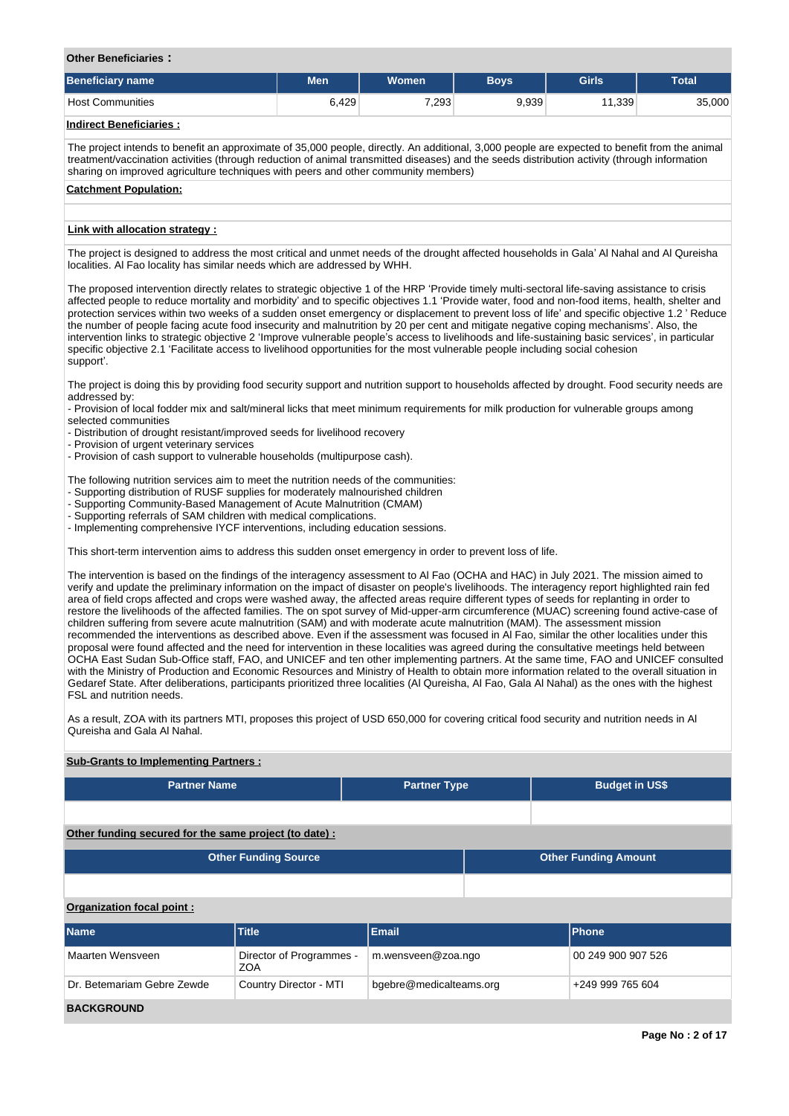## **Other Beneficiaries :**

| <b>Beneficiary name</b> | Men   | Women | <b>Boys</b> | <b>Girls</b> | <b>Total</b> |
|-------------------------|-------|-------|-------------|--------------|--------------|
| <b>Host Communities</b> | 6,429 | 7,293 | 9,939       | 11,339       | 35,000       |
| .                       |       |       |             |              |              |

#### **Indirect Beneficiaries :**

The project intends to benefit an approximate of 35,000 people, directly. An additional, 3,000 people are expected to benefit from the animal treatment/vaccination activities (through reduction of animal transmitted diseases) and the seeds distribution activity (through information sharing on improved agriculture techniques with peers and other community members)

#### **Catchment Population:**

#### **Link with allocation strategy :**

The project is designed to address the most critical and unmet needs of the drought affected households in Gala' Al Nahal and Al Qureisha localities. Al Fao locality has similar needs which are addressed by WHH.

The proposed intervention directly relates to strategic objective 1 of the HRP 'Provide timely multi-sectoral life-saving assistance to crisis affected people to reduce mortality and morbidity' and to specific objectives 1.1 'Provide water, food and non-food items, health, shelter and protection services within two weeks of a sudden onset emergency or displacement to prevent loss of life' and specific objective 1.2 ' Reduce the number of people facing acute food insecurity and malnutrition by 20 per cent and mitigate negative coping mechanisms'. Also, the intervention links to strategic objective 2 'Improve vulnerable people's access to livelihoods and life-sustaining basic services', in particular specific objective 2.1 'Facilitate access to livelihood opportunities for the most vulnerable people including social cohesion support'.

The project is doing this by providing food security support and nutrition support to households affected by drought. Food security needs are addressed by:

- Provision of local fodder mix and salt/mineral licks that meet minimum requirements for milk production for vulnerable groups among selected communities

- Distribution of drought resistant/improved seeds for livelihood recovery

- Provision of urgent veterinary services

**Sub-Grants to Implementing Partners :**

- Provision of cash support to vulnerable households (multipurpose cash).

The following nutrition services aim to meet the nutrition needs of the communities:

- Supporting distribution of RUSF supplies for moderately malnourished children

- Supporting Community-Based Management of Acute Malnutrition (CMAM)
- Supporting referrals of SAM children with medical complications.

- Implementing comprehensive IYCF interventions, including education sessions.

This short-term intervention aims to address this sudden onset emergency in order to prevent loss of life.

The intervention is based on the findings of the interagency assessment to Al Fao (OCHA and HAC) in July 2021. The mission aimed to verify and update the preliminary information on the impact of disaster on people's livelihoods. The interagency report highlighted rain fed area of field crops affected and crops were washed away, the affected areas require different types of seeds for replanting in order to restore the livelihoods of the affected families. The on spot survey of Mid-upper-arm circumference (MUAC) screening found active-case of children suffering from severe acute malnutrition (SAM) and with moderate acute malnutrition (MAM). The assessment mission recommended the interventions as described above. Even if the assessment was focused in Al Fao, similar the other localities under this proposal were found affected and the need for intervention in these localities was agreed during the consultative meetings held between OCHA East Sudan Sub-Office staff, FAO, and UNICEF and ten other implementing partners. At the same time, FAO and UNICEF consulted with the Ministry of Production and Economic Resources and Ministry of Health to obtain more information related to the overall situation in Gedaref State. After deliberations, participants prioritized three localities (Al Qureisha, Al Fao, Gala Al Nahal) as the ones with the highest FSL and nutrition needs.

As a result, ZOA with its partners MTI, proposes this project of USD 650,000 for covering critical food security and nutrition needs in Al Qureisha and Gala Al Nahal.

| <b>Sub-Grants to implementing Fartners.</b>            |                                        |                         |  |                             |  |                  |  |
|--------------------------------------------------------|----------------------------------------|-------------------------|--|-----------------------------|--|------------------|--|
| <b>Partner Name</b>                                    |                                        | <b>Partner Type</b>     |  | <b>Budget in US\$</b>       |  |                  |  |
|                                                        |                                        |                         |  |                             |  |                  |  |
| Other funding secured for the same project (to date) : |                                        |                         |  |                             |  |                  |  |
|                                                        | <b>Other Funding Source</b>            |                         |  | <b>Other Funding Amount</b> |  |                  |  |
|                                                        |                                        |                         |  |                             |  |                  |  |
| Organization focal point:                              |                                        |                         |  |                             |  |                  |  |
| Name                                                   | <b>Title</b>                           | <b>Email</b>            |  | Phone                       |  |                  |  |
| Maarten Wensveen                                       | Director of Programmes -<br><b>ZOA</b> | m.wensveen@zoa.ngo      |  | 00 249 900 907 526          |  |                  |  |
| Dr. Betemariam Gebre Zewde                             | Country Director - MTI                 | bgebre@medicalteams.org |  |                             |  | +249 999 765 604 |  |
| <b>BACKGROUND</b>                                      |                                        |                         |  |                             |  |                  |  |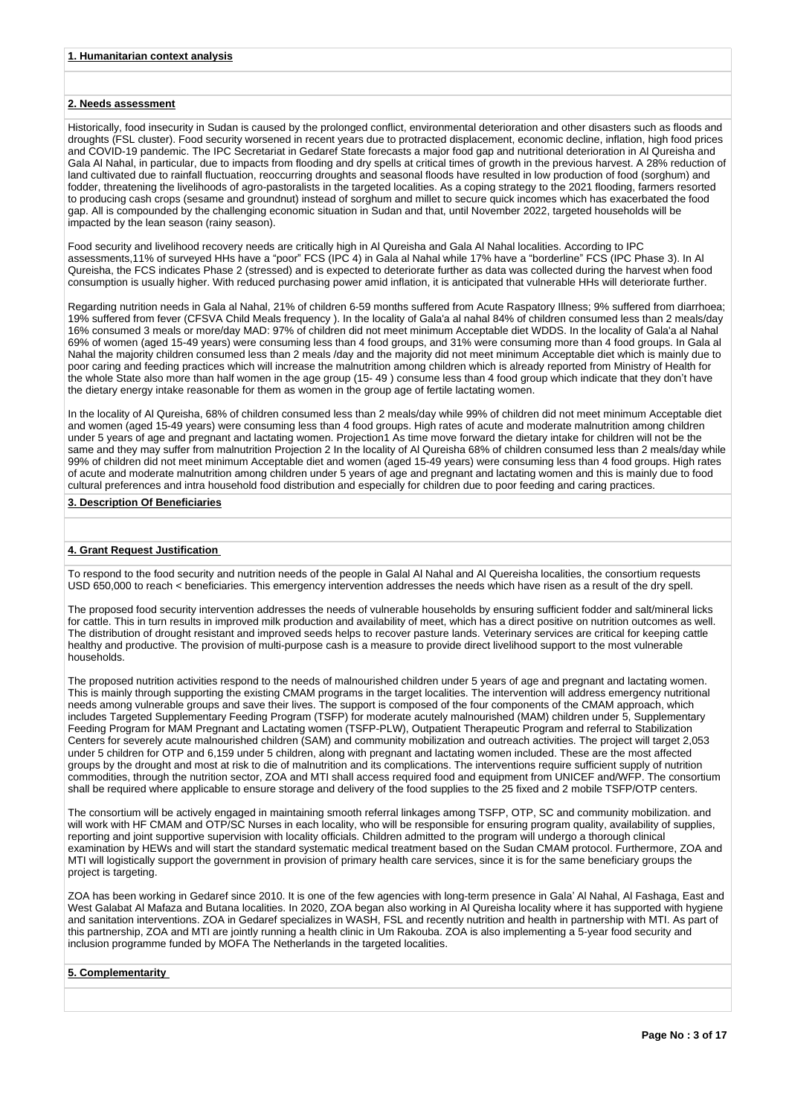### **2. Needs assessment**

Historically, food insecurity in Sudan is caused by the prolonged conflict, environmental deterioration and other disasters such as floods and droughts (FSL cluster). Food security worsened in recent years due to protracted displacement, economic decline, inflation, high food prices and COVID-19 pandemic. The IPC Secretariat in Gedaref State forecasts a major food gap and nutritional deterioration in Al Qureisha and Gala Al Nahal, in particular, due to impacts from flooding and dry spells at critical times of growth in the previous harvest. A 28% reduction of land cultivated due to rainfall fluctuation, reoccurring droughts and seasonal floods have resulted in low production of food (sorghum) and fodder, threatening the livelihoods of agro-pastoralists in the targeted localities. As a coping strategy to the 2021 flooding, farmers resorted to producing cash crops (sesame and groundnut) instead of sorghum and millet to secure quick incomes which has exacerbated the food gap. All is compounded by the challenging economic situation in Sudan and that, until November 2022, targeted households will be impacted by the lean season (rainy season).

Food security and livelihood recovery needs are critically high in Al Qureisha and Gala Al Nahal localities. According to IPC assessments,11% of surveyed HHs have a "poor" FCS (IPC 4) in Gala al Nahal while 17% have a "borderline" FCS (IPC Phase 3). In Al Qureisha, the FCS indicates Phase 2 (stressed) and is expected to deteriorate further as data was collected during the harvest when food consumption is usually higher. With reduced purchasing power amid inflation, it is anticipated that vulnerable HHs will deteriorate further.

Regarding nutrition needs in Gala al Nahal, 21% of children 6-59 months suffered from Acute Raspatory Illness; 9% suffered from diarrhoea; 19% suffered from fever (CFSVA Child Meals frequency ). In the locality of Gala'a al nahal 84% of children consumed less than 2 meals/day 16% consumed 3 meals or more/day MAD: 97% of children did not meet minimum Acceptable diet WDDS. In the locality of Gala'a al Nahal 69% of women (aged 15-49 years) were consuming less than 4 food groups, and 31% were consuming more than 4 food groups. In Gala al Nahal the majority children consumed less than 2 meals /day and the majority did not meet minimum Acceptable diet which is mainly due to poor caring and feeding practices which will increase the malnutrition among children which is already reported from Ministry of Health for the whole State also more than half women in the age group (15- 49 ) consume less than 4 food group which indicate that they don't have the dietary energy intake reasonable for them as women in the group age of fertile lactating women.

In the locality of Al Qureisha, 68% of children consumed less than 2 meals/day while 99% of children did not meet minimum Acceptable diet and women (aged 15-49 years) were consuming less than 4 food groups. High rates of acute and moderate malnutrition among children under 5 years of age and pregnant and lactating women. Projection1 As time move forward the dietary intake for children will not be the same and they may suffer from malnutrition Projection 2 In the locality of Al Qureisha 68% of children consumed less than 2 meals/day while 99% of children did not meet minimum Acceptable diet and women (aged 15-49 years) were consuming less than 4 food groups. High rates of acute and moderate malnutrition among children under 5 years of age and pregnant and lactating women and this is mainly due to food cultural preferences and intra household food distribution and especially for children due to poor feeding and caring practices.

#### **3. Description Of Beneficiaries**

#### **4. Grant Request Justification**

To respond to the food security and nutrition needs of the people in Galal Al Nahal and Al Quereisha localities, the consortium requests USD 650,000 to reach < beneficiaries. This emergency intervention addresses the needs which have risen as a result of the dry spell.

The proposed food security intervention addresses the needs of vulnerable households by ensuring sufficient fodder and salt/mineral licks for cattle. This in turn results in improved milk production and availability of meet, which has a direct positive on nutrition outcomes as well. The distribution of drought resistant and improved seeds helps to recover pasture lands. Veterinary services are critical for keeping cattle healthy and productive. The provision of multi-purpose cash is a measure to provide direct livelihood support to the most vulnerable households.

The proposed nutrition activities respond to the needs of malnourished children under 5 years of age and pregnant and lactating women. This is mainly through supporting the existing CMAM programs in the target localities. The intervention will address emergency nutritional needs among vulnerable groups and save their lives. The support is composed of the four components of the CMAM approach, which includes Targeted Supplementary Feeding Program (TSFP) for moderate acutely malnourished (MAM) children under 5, Supplementary Feeding Program for MAM Pregnant and Lactating women (TSFP-PLW), Outpatient Therapeutic Program and referral to Stabilization Centers for severely acute malnourished children (SAM) and community mobilization and outreach activities. The project will target 2,053 under 5 children for OTP and 6,159 under 5 children, along with pregnant and lactating women included. These are the most affected groups by the drought and most at risk to die of malnutrition and its complications. The interventions require sufficient supply of nutrition commodities, through the nutrition sector, ZOA and MTI shall access required food and equipment from UNICEF and/WFP. The consortium shall be required where applicable to ensure storage and delivery of the food supplies to the 25 fixed and 2 mobile TSFP/OTP centers.

The consortium will be actively engaged in maintaining smooth referral linkages among TSFP, OTP, SC and community mobilization. and will work with HF CMAM and OTP/SC Nurses in each locality, who will be responsible for ensuring program quality, availability of supplies, reporting and joint supportive supervision with locality officials. Children admitted to the program will undergo a thorough clinical examination by HEWs and will start the standard systematic medical treatment based on the Sudan CMAM protocol. Furthermore, ZOA and MTI will logistically support the government in provision of primary health care services, since it is for the same beneficiary groups the project is targeting.

ZOA has been working in Gedaref since 2010. It is one of the few agencies with long-term presence in Gala' Al Nahal, Al Fashaga, East and West Galabat Al Mafaza and Butana localities. In 2020, ZOA began also working in Al Qureisha locality where it has supported with hygiene and sanitation interventions. ZOA in Gedaref specializes in WASH, FSL and recently nutrition and health in partnership with MTI. As part of this partnership, ZOA and MTI are jointly running a health clinic in Um Rakouba. ZOA is also implementing a 5-year food security and inclusion programme funded by MOFA The Netherlands in the targeted localities.

#### **5. Complementarity**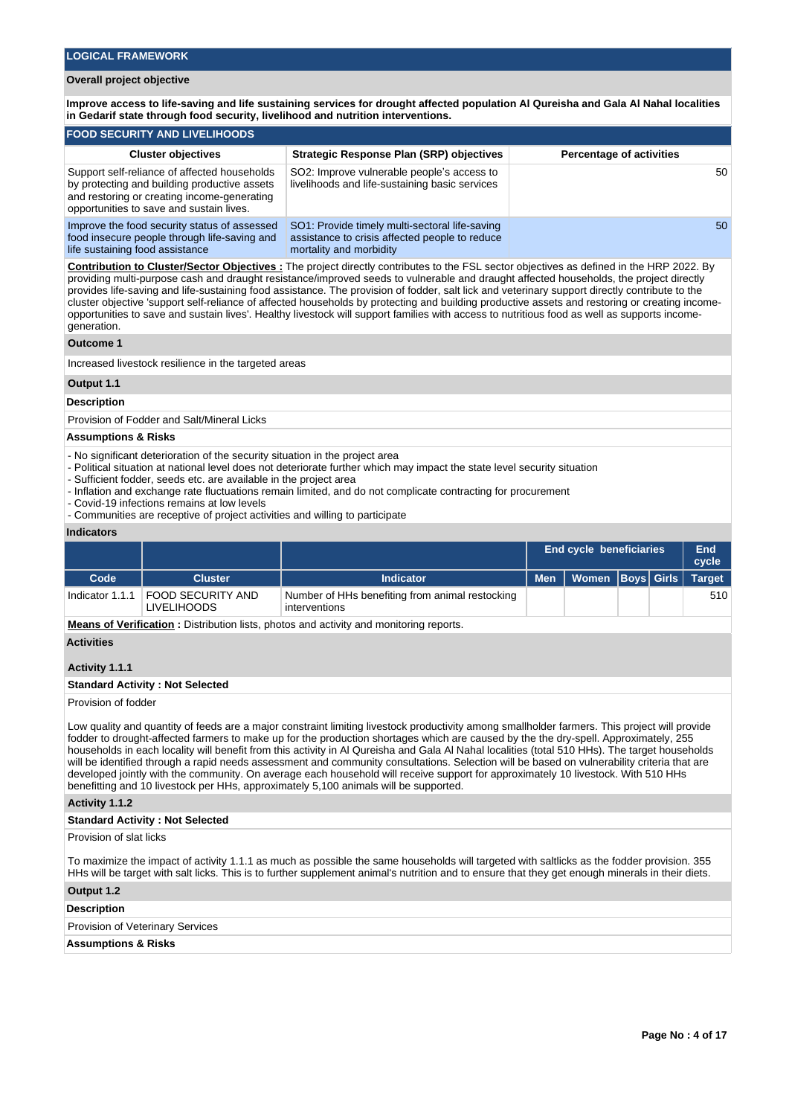## **Overall project objective**

**Improve access to life-saving and life sustaining services for drought affected population Al Qureisha and Gala Al Nahal localities in Gedarif state through food security, livelihood and nutrition interventions.** 

| <b>FOOD SECURITY AND LIVELIHOODS</b>                                                                                                                                                    |                                                                                                                             |                                 |  |  |  |  |  |  |  |  |
|-----------------------------------------------------------------------------------------------------------------------------------------------------------------------------------------|-----------------------------------------------------------------------------------------------------------------------------|---------------------------------|--|--|--|--|--|--|--|--|
| <b>Cluster objectives</b>                                                                                                                                                               | <b>Strategic Response Plan (SRP) objectives</b>                                                                             | <b>Percentage of activities</b> |  |  |  |  |  |  |  |  |
| Support self-reliance of affected households<br>by protecting and building productive assets<br>and restoring or creating income-generating<br>opportunities to save and sustain lives. | SO2: Improve vulnerable people's access to<br>livelihoods and life-sustaining basic services                                | 50                              |  |  |  |  |  |  |  |  |
| Improve the food security status of assessed<br>food insecure people through life-saving and<br>life sustaining food assistance                                                         | SO1: Provide timely multi-sectoral life-saving<br>assistance to crisis affected people to reduce<br>mortality and morbidity | 50                              |  |  |  |  |  |  |  |  |

**Contribution to Cluster/Sector Objectives :** The project directly contributes to the FSL sector objectives as defined in the HRP 2022. By providing multi-purpose cash and draught resistance/improved seeds to vulnerable and draught affected households, the project directly provides life-saving and life-sustaining food assistance. The provision of fodder, salt lick and veterinary support directly contribute to the cluster objective 'support self-reliance of affected households by protecting and building productive assets and restoring or creating incomeopportunities to save and sustain lives'. Healthy livestock will support families with access to nutritious food as well as supports incomegeneration.

#### **Outcome 1**

Increased livestock resilience in the targeted areas

## **Output 1.1**

#### **Description**

Provision of Fodder and Salt/Mineral Licks

#### **Assumptions & Risks**

- No significant deterioration of the security situation in the project area
- Political situation at national level does not deteriorate further which may impact the state level security situation
- Sufficient fodder, seeds etc. are available in the project area
- Inflation and exchange rate fluctuations remain limited, and do not complicate contracting for procurement
- Covid-19 infections remains at low levels
- Communities are receptive of project activities and willing to participate

#### **Indicators**

|      |                                                    |                                                                                             |            | <b>End cycle beneficiaries</b> |  |  |               |
|------|----------------------------------------------------|---------------------------------------------------------------------------------------------|------------|--------------------------------|--|--|---------------|
| Code | <b>Cluster</b>                                     | <b>Indicator</b>                                                                            | <b>Men</b> | Women   Boys   Girls           |  |  | <b>Target</b> |
|      | Indicator 1.1.1   FOOD SECURITY AND<br>LIVELIHOODS | Number of HHs benefiting from animal restocking<br>interventions                            |            |                                |  |  | 510           |
|      |                                                    | . Magno of Vaulflantinu - Distuit diese liete selesse nuclearité in en descritorium sonoste |            |                                |  |  |               |

**Means of Verification :** Distribution lists, photos and activity and monitoring reports.

#### **Activities**

#### **Activity 1.1.1**

#### **Standard Activity : Not Selected**

Provision of fodder

Low quality and quantity of feeds are a major constraint limiting livestock productivity among smallholder farmers. This project will provide fodder to drought-affected farmers to make up for the production shortages which are caused by the the dry-spell. Approximately, 255 households in each locality will benefit from this activity in Al Qureisha and Gala Al Nahal localities (total 510 HHs). The target households will be identified through a rapid needs assessment and community consultations. Selection will be based on vulnerability criteria that are developed jointly with the community. On average each household will receive support for approximately 10 livestock. With 510 HHs benefitting and 10 livestock per HHs, approximately 5,100 animals will be supported.

#### **Activity 1.1.2**

#### **Standard Activity : Not Selected**

Provision of slat licks

To maximize the impact of activity 1.1.1 as much as possible the same households will targeted with saltlicks as the fodder provision. 355 HHs will be target with salt licks. This is to further supplement animal's nutrition and to ensure that they get enough minerals in their diets.

## **Output 1.2**

#### **Description**

Provision of Veterinary Services

#### **Assumptions & Risks**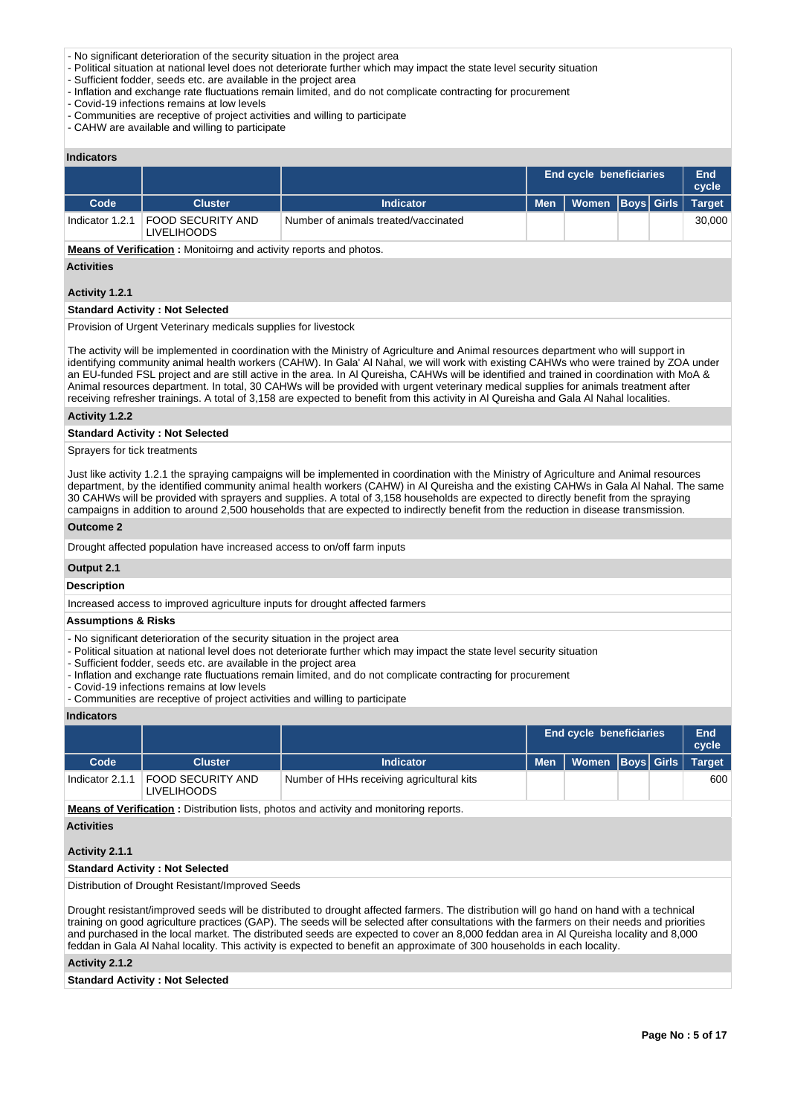- No significant deterioration of the security situation in the project area
- Political situation at national level does not deteriorate further which may impact the state level security situation
- Sufficient fodder, seeds etc. are available in the project area
- Inflation and exchange rate fluctuations remain limited, and do not complicate contracting for procurement
- Covid-19 infections remains at low levels
- Communities are receptive of project activities and willing to participate
- CAHW are available and willing to participate

## **Indicators**

|                 |                                  |                                      | <b>End cycle beneficiaries</b> | End<br>cycle         |  |               |
|-----------------|----------------------------------|--------------------------------------|--------------------------------|----------------------|--|---------------|
| Code            | <b>Cluster</b>                   | <b>Indicator</b>                     | <b>Men</b>                     | Women   Boys   Girls |  | <b>Target</b> |
| Indicator 1.2.1 | FOOD SECURITY AND<br>LIVELIHOODS | Number of animals treated/vaccinated |                                |                      |  | 30,000        |

**Means of Verification :** Monitoirng and activity reports and photos.

#### **Activities**

#### **Activity 1.2.1**

## **Standard Activity : Not Selected**

Provision of Urgent Veterinary medicals supplies for livestock

The activity will be implemented in coordination with the Ministry of Agriculture and Animal resources department who will support in identifying community animal health workers (CAHW). In Gala' Al Nahal, we will work with existing CAHWs who were trained by ZOA under an EU-funded FSL project and are still active in the area. In Al Qureisha, CAHWs will be identified and trained in coordination with MoA & Animal resources department. In total, 30 CAHWs will be provided with urgent veterinary medical supplies for animals treatment after receiving refresher trainings. A total of 3,158 are expected to benefit from this activity in Al Qureisha and Gala Al Nahal localities.

#### **Activity 1.2.2**

#### **Standard Activity : Not Selected**

Sprayers for tick treatments

Just like activity 1.2.1 the spraying campaigns will be implemented in coordination with the Ministry of Agriculture and Animal resources department, by the identified community animal health workers (CAHW) in Al Qureisha and the existing CAHWs in Gala Al Nahal. The same 30 CAHWs will be provided with sprayers and supplies. A total of 3,158 households are expected to directly benefit from the spraying campaigns in addition to around 2,500 households that are expected to indirectly benefit from the reduction in disease transmission.

#### **Outcome 2**

Drought affected population have increased access to on/off farm inputs

#### **Output 2.1**

#### **Description**

Increased access to improved agriculture inputs for drought affected farmers

#### **Assumptions & Risks**

- No significant deterioration of the security situation in the project area
- Political situation at national level does not deteriorate further which may impact the state level security situation
- Sufficient fodder, seeds etc. are available in the project area
- Inflation and exchange rate fluctuations remain limited, and do not complicate contracting for procurement
- Covid-19 infections remains at low levels
- Communities are receptive of project activities and willing to participate

#### **Indicators**

|                   |                                                                                        |                                           |            | End cycle beneficiaries |  |  |               |  |  |  |
|-------------------|----------------------------------------------------------------------------------------|-------------------------------------------|------------|-------------------------|--|--|---------------|--|--|--|
| Code              | <b>Cluster</b>                                                                         | <b>Indicator</b>                          | <b>Men</b> | Women   Boys   Girls    |  |  | <b>Target</b> |  |  |  |
| Indicator $2.1.1$ | FOOD SECURITY AND<br>LIVELIHOODS                                                       | Number of HHs receiving agricultural kits |            |                         |  |  | 600           |  |  |  |
|                   | Means of Verification · Distribution lists, photos and activity and monitoring reports |                                           |            |                         |  |  |               |  |  |  |

**MEATION :** Distribution lists, photos and activity and monitoring reports.

## **Activities**

## **Activity 2.1.1**

#### **Standard Activity : Not Selected**

Distribution of Drought Resistant/Improved Seeds

Drought resistant/improved seeds will be distributed to drought affected farmers. The distribution will go hand on hand with a technical training on good agriculture practices (GAP). The seeds will be selected after consultations with the farmers on their needs and priorities and purchased in the local market. The distributed seeds are expected to cover an 8,000 feddan area in Al Qureisha locality and 8,000 feddan in Gala Al Nahal locality. This activity is expected to benefit an approximate of 300 households in each locality.

#### **Activity 2.1.2**

#### **Standard Activity : Not Selected**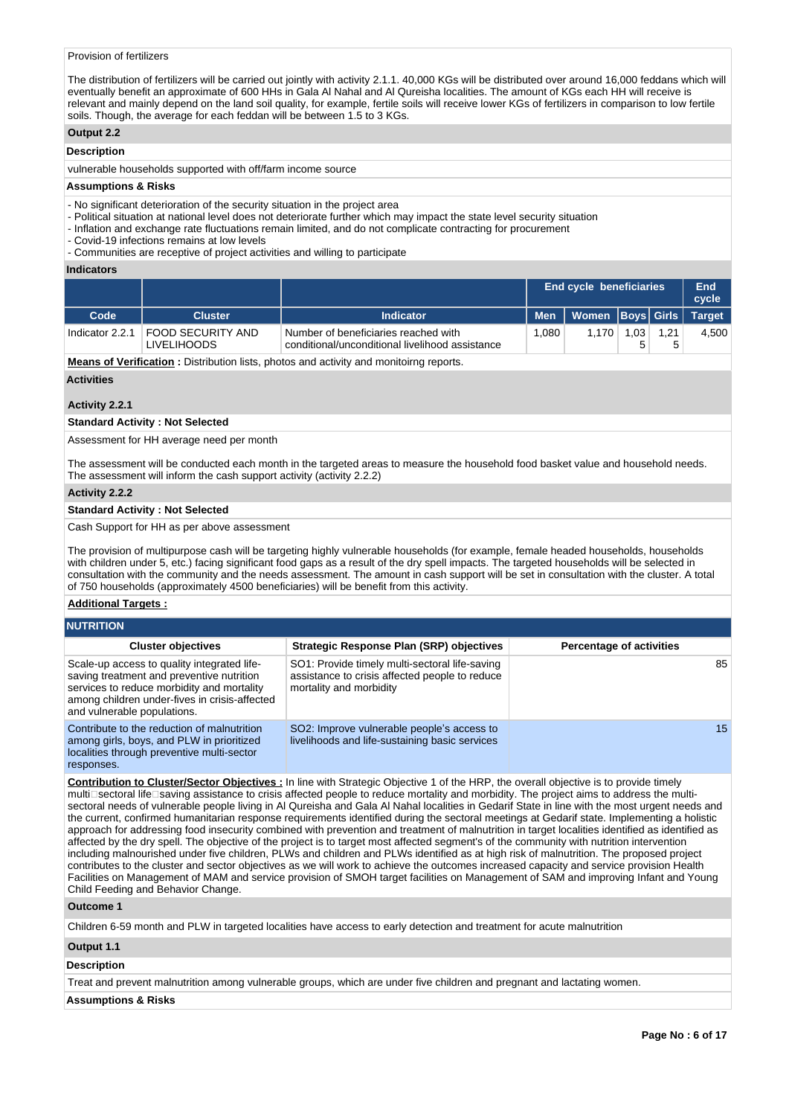### Provision of fertilizers

The distribution of fertilizers will be carried out jointly with activity 2.1.1. 40,000 KGs will be distributed over around 16,000 feddans which will eventually benefit an approximate of 600 HHs in Gala Al Nahal and Al Qureisha localities. The amount of KGs each HH will receive is relevant and mainly depend on the land soil quality, for example, fertile soils will receive lower KGs of fertilizers in comparison to low fertile soils. Though, the average for each feddan will be between 1.5 to 3 KGs.

#### **Output 2.2**

## **Description**

vulnerable households supported with off/farm income source

#### **Assumptions & Risks**

- No significant deterioration of the security situation in the project area
- Political situation at national level does not deteriorate further which may impact the state level security situation
- Inflation and exchange rate fluctuations remain limited, and do not complicate contracting for procurement
- Covid-19 infections remains at low levels

- Communities are receptive of project activities and willing to participate

#### **Indicators**

|                 |                                         |                                                                                         | End cycle beneficiaries | End<br>cycle                        |     |      |       |
|-----------------|-----------------------------------------|-----------------------------------------------------------------------------------------|-------------------------|-------------------------------------|-----|------|-------|
| Code            | <b>Cluster</b>                          | <b>Indicator</b>                                                                        |                         | Men   Women   Boys   Girls   Target |     |      |       |
| Indicator 2.2.1 | FOOD SECURITY AND<br><b>LIVELIHOODS</b> | Number of beneficiaries reached with<br>conditional/unconditional livelihood assistance | 1.080                   | 1.170                               | .03 | 1.21 | 4.500 |

**Means of Verification**: Distribution lists, photos and activity and monitoirng reports.

**Activities**

#### **Activity 2.2.1**

#### **Standard Activity : Not Selected**

Assessment for HH average need per month

The assessment will be conducted each month in the targeted areas to measure the household food basket value and household needs. The assessment will inform the cash support activity (activity 2.2.2)

#### **Activity 2.2.2**

#### **Standard Activity : Not Selected**

#### Cash Support for HH as per above assessment

The provision of multipurpose cash will be targeting highly vulnerable households (for example, female headed households, households with children under 5, etc.) facing significant food gaps as a result of the dry spell impacts. The targeted households will be selected in consultation with the community and the needs assessment. The amount in cash support will be set in consultation with the cluster. A total of 750 households (approximately 4500 beneficiaries) will be benefit from this activity.

#### **Additional Targets :**

| <b>NUTRITION</b>                                                                                                                                                                                                       |                                                                                                                             |                                 |
|------------------------------------------------------------------------------------------------------------------------------------------------------------------------------------------------------------------------|-----------------------------------------------------------------------------------------------------------------------------|---------------------------------|
| <b>Cluster objectives</b>                                                                                                                                                                                              | <b>Strategic Response Plan (SRP) objectives</b>                                                                             | <b>Percentage of activities</b> |
| Scale-up access to quality integrated life-<br>saving treatment and preventive nutrition<br>services to reduce morbidity and mortality<br>among children under-fives in crisis-affected<br>and vulnerable populations. | SO1: Provide timely multi-sectoral life-saving<br>assistance to crisis affected people to reduce<br>mortality and morbidity | 85                              |
| Contribute to the reduction of malnutrition<br>among girls, boys, and PLW in prioritized<br>localities through preventive multi-sector<br>responses.                                                                   | SO2: Improve vulnerable people's access to<br>livelihoods and life-sustaining basic services                                | 15 <sup>15</sup>                |

**Contribution to Cluster/Sector Objectives :** In line with Strategic Objective 1 of the HRP, the overall objective is to provide timely multi⊡sectoral life⊡saving assistance to crisis affected people to reduce mortality and morbidity. The project aims to address the multisectoral needs of vulnerable people living in Al Qureisha and Gala Al Nahal localities in Gedarif State in line with the most urgent needs and the current, confirmed humanitarian response requirements identified during the sectoral meetings at Gedarif state. Implementing a holistic approach for addressing food insecurity combined with prevention and treatment of malnutrition in target localities identified as identified as affected by the dry spell. The objective of the project is to target most affected segment's of the community with nutrition intervention including malnourished under five children, PLWs and children and PLWs identified as at high risk of malnutrition. The proposed project contributes to the cluster and sector objectives as we will work to achieve the outcomes increased capacity and service provision Health Facilities on Management of MAM and service provision of SMOH target facilities on Management of SAM and improving Infant and Young Child Feeding and Behavior Change.

**Outcome 1**

Children 6-59 month and PLW in targeted localities have access to early detection and treatment for acute malnutrition

## **Output 1.1**

## **Description**

Treat and prevent malnutrition among vulnerable groups, which are under five children and pregnant and lactating women.

#### **Assumptions & Risks**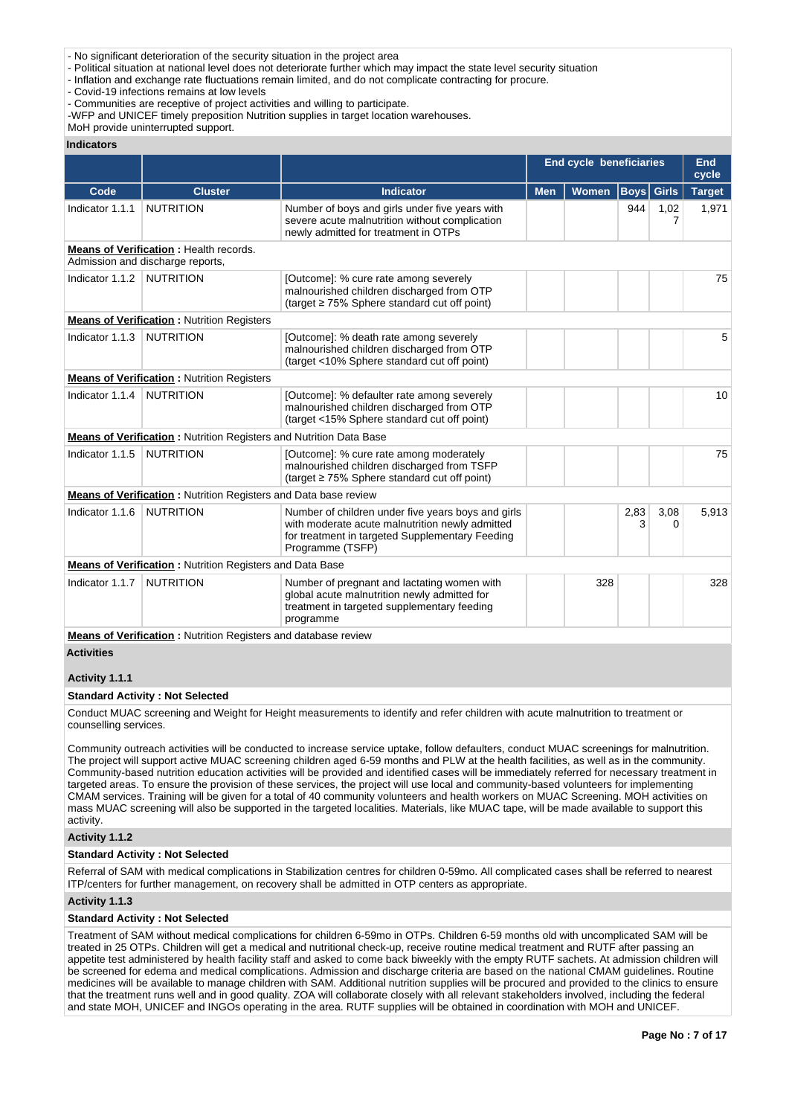- Political situation at national level does not deteriorate further which may impact the state level security situation
- Inflation and exchange rate fluctuations remain limited, and do not complicate contracting for procure.
- Covid-19 infections remains at low levels
- Communities are receptive of project activities and willing to participate.
- -WFP and UNICEF timely preposition Nutrition supplies in target location warehouses.

MoH provide uninterrupted support.

#### **Indicators**

|                   |                                                                                   |                                                                                                                                                                              | End cycle beneficiaries |              | <b>End</b><br>cycle |              |               |
|-------------------|-----------------------------------------------------------------------------------|------------------------------------------------------------------------------------------------------------------------------------------------------------------------------|-------------------------|--------------|---------------------|--------------|---------------|
| Code              | <b>Cluster</b>                                                                    | <b>Indicator</b>                                                                                                                                                             | <b>Men</b>              | <b>Women</b> | <b>Boys</b>         | <b>Girls</b> | <b>Target</b> |
| Indicator 1.1.1   | <b>NUTRITION</b>                                                                  | Number of boys and girls under five years with<br>severe acute malnutrition without complication<br>newly admitted for treatment in OTPs                                     |                         |              | 944                 | 1,02<br>7    | 1,971         |
|                   | <b>Means of Verification: Health records.</b><br>Admission and discharge reports, |                                                                                                                                                                              |                         |              |                     |              |               |
| Indicator 1.1.2   | <b>NUTRITION</b>                                                                  | [Outcome]: % cure rate among severely<br>malnourished children discharged from OTP<br>(target $\geq$ 75% Sphere standard cut off point)                                      |                         |              |                     |              | 75            |
|                   | <b>Means of Verification:</b> Nutrition Registers                                 |                                                                                                                                                                              |                         |              |                     |              |               |
| Indicator 1.1.3   | <b>NUTRITION</b>                                                                  | [Outcome]: % death rate among severely<br>malnourished children discharged from OTP<br>(target <10% Sphere standard cut off point)                                           |                         |              |                     |              | 5             |
|                   | <b>Means of Verification:</b> Nutrition Registers                                 |                                                                                                                                                                              |                         |              |                     |              |               |
| Indicator 1.1.4   | <b>NUTRITION</b>                                                                  | [Outcome]: % defaulter rate among severely<br>malnourished children discharged from OTP<br>(target <15% Sphere standard cut off point)                                       |                         |              |                     |              | 10            |
|                   | <b>Means of Verification: Nutrition Registers and Nutrition Data Base</b>         |                                                                                                                                                                              |                         |              |                     |              |               |
| Indicator 1.1.5   | <b>NUTRITION</b>                                                                  | [Outcome]: % cure rate among moderately<br>malnourished children discharged from TSFP<br>(target $\geq$ 75% Sphere standard cut off point)                                   |                         |              |                     |              | 75            |
|                   | <b>Means of Verification:</b> Nutrition Registers and Data base review            |                                                                                                                                                                              |                         |              |                     |              |               |
| Indicator 1.1.6   | <b>NUTRITION</b>                                                                  | Number of children under five years boys and girls<br>with moderate acute malnutrition newly admitted<br>for treatment in targeted Supplementary Feeding<br>Programme (TSFP) |                         |              | 2,83<br>3           | 3,08<br>0    | 5,913         |
|                   | <b>Means of Verification:</b> Nutrition Registers and Data Base                   |                                                                                                                                                                              |                         |              |                     |              |               |
| Indicator 1.1.7   | <b>NUTRITION</b>                                                                  | Number of pregnant and lactating women with<br>global acute malnutrition newly admitted for<br>treatment in targeted supplementary feeding<br>programme                      |                         | 328          |                     |              | 328           |
|                   | <b>Means of Verification:</b> Nutrition Registers and database review             |                                                                                                                                                                              |                         |              |                     |              |               |
| <b>Activities</b> |                                                                                   |                                                                                                                                                                              |                         |              |                     |              |               |

## **Activity 1.1.1**

## **Standard Activity : Not Selected**

Conduct MUAC screening and Weight for Height measurements to identify and refer children with acute malnutrition to treatment or counselling services.

Community outreach activities will be conducted to increase service uptake, follow defaulters, conduct MUAC screenings for malnutrition. The project will support active MUAC screening children aged 6-59 months and PLW at the health facilities, as well as in the community. Community-based nutrition education activities will be provided and identified cases will be immediately referred for necessary treatment in targeted areas. To ensure the provision of these services, the project will use local and community-based volunteers for implementing CMAM services. Training will be given for a total of 40 community volunteers and health workers on MUAC Screening. MOH activities on mass MUAC screening will also be supported in the targeted localities. Materials, like MUAC tape, will be made available to support this activity.

## **Activity 1.1.2**

#### **Standard Activity : Not Selected**

Referral of SAM with medical complications in Stabilization centres for children 0-59mo. All complicated cases shall be referred to nearest ITP/centers for further management, on recovery shall be admitted in OTP centers as appropriate.

#### **Activity 1.1.3**

#### **Standard Activity : Not Selected**

Treatment of SAM without medical complications for children 6-59mo in OTPs. Children 6-59 months old with uncomplicated SAM will be treated in 25 OTPs. Children will get a medical and nutritional check-up, receive routine medical treatment and RUTF after passing an appetite test administered by health facility staff and asked to come back biweekly with the empty RUTF sachets. At admission children will be screened for edema and medical complications. Admission and discharge criteria are based on the national CMAM guidelines. Routine medicines will be available to manage children with SAM. Additional nutrition supplies will be procured and provided to the clinics to ensure that the treatment runs well and in good quality. ZOA will collaborate closely with all relevant stakeholders involved, including the federal and state MOH, UNICEF and INGOs operating in the area. RUTF supplies will be obtained in coordination with MOH and UNICEF.

<sup>-</sup> No significant deterioration of the security situation in the project area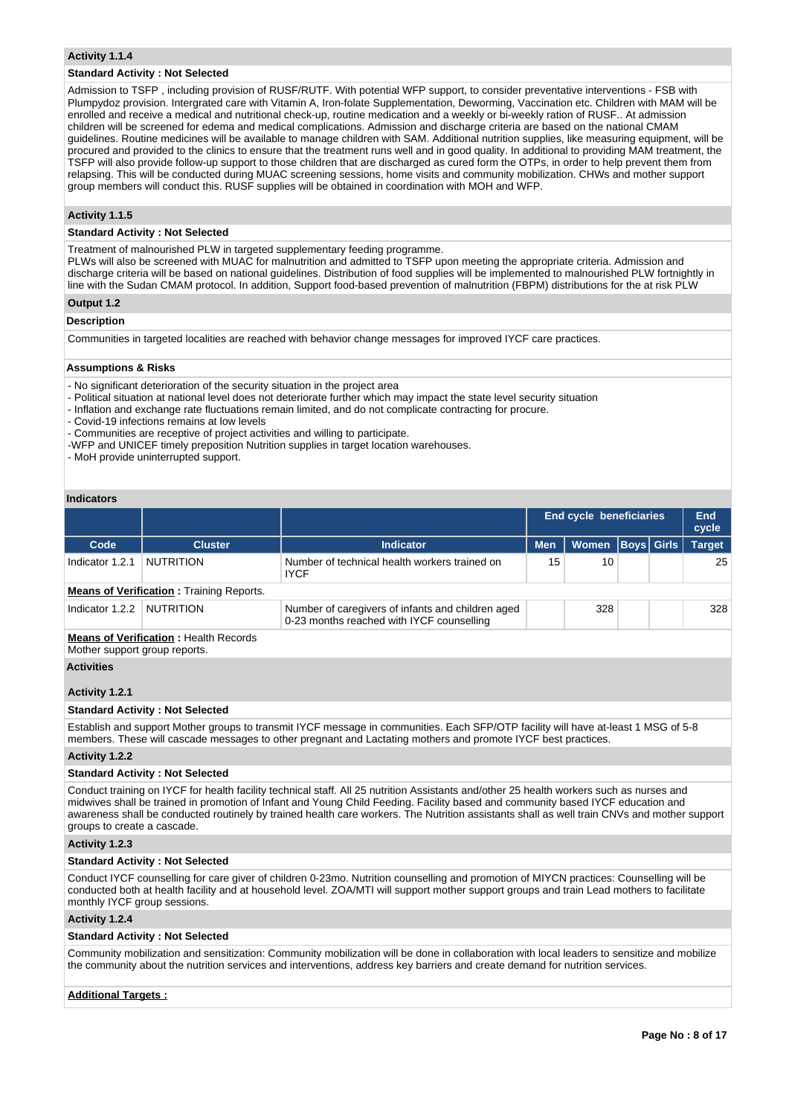#### **Activity 1.1.4**

#### **Standard Activity : Not Selected**

Admission to TSFP , including provision of RUSF/RUTF. With potential WFP support, to consider preventative interventions - FSB with Plumpydoz provision. Intergrated care with Vitamin A, Iron-folate Supplementation, Deworming, Vaccination etc. Children with MAM will be enrolled and receive a medical and nutritional check-up, routine medication and a weekly or bi-weekly ration of RUSF.. At admission children will be screened for edema and medical complications. Admission and discharge criteria are based on the national CMAM guidelines. Routine medicines will be available to manage children with SAM. Additional nutrition supplies, like measuring equipment, will be procured and provided to the clinics to ensure that the treatment runs well and in good quality. In additional to providing MAM treatment, the TSFP will also provide follow-up support to those children that are discharged as cured form the OTPs, in order to help prevent them from relapsing. This will be conducted during MUAC screening sessions, home visits and community mobilization. CHWs and mother support group members will conduct this. RUSF supplies will be obtained in coordination with MOH and WFP.

#### **Activity 1.1.5**

#### **Standard Activity : Not Selected**

Treatment of malnourished PLW in targeted supplementary feeding programme.

PLWs will also be screened with MUAC for malnutrition and admitted to TSFP upon meeting the appropriate criteria. Admission and discharge criteria will be based on national guidelines. Distribution of food supplies will be implemented to malnourished PLW fortnightly in line with the Sudan CMAM protocol. In addition, Support food-based prevention of malnutrition (FBPM) distributions for the at risk PLW **Output 1.2**

## **Description**

Communities in targeted localities are reached with behavior change messages for improved IYCF care practices.

#### **Assumptions & Risks**

- No significant deterioration of the security situation in the project area
- Political situation at national level does not deteriorate further which may impact the state level security situation
- Inflation and exchange rate fluctuations remain limited, and do not complicate contracting for procure.
- Covid-19 infections remains at low levels
- Communities are receptive of project activities and willing to participate.
- -WFP and UNICEF timely preposition Nutrition supplies in target location warehouses.
- MoH provide uninterrupted support.

## **Indicators**

| inuivatvi J       |                                                                               |                                                                                                                                                                                                                                                     |                         |              |                   |  |               |  |  |
|-------------------|-------------------------------------------------------------------------------|-----------------------------------------------------------------------------------------------------------------------------------------------------------------------------------------------------------------------------------------------------|-------------------------|--------------|-------------------|--|---------------|--|--|
|                   |                                                                               |                                                                                                                                                                                                                                                     | End cycle beneficiaries |              | End<br>cycle      |  |               |  |  |
| Code              | <b>Cluster</b>                                                                | <b>Indicator</b>                                                                                                                                                                                                                                    | <b>Men</b>              | <b>Women</b> | <b>Boys Girls</b> |  | <b>Target</b> |  |  |
| Indicator 1.2.1   | <b>NUTRITION</b>                                                              | Number of technical health workers trained on<br><b>IYCF</b>                                                                                                                                                                                        | 15                      | 10           |                   |  | 25            |  |  |
|                   | <b>Means of Verification:</b> Training Reports.                               |                                                                                                                                                                                                                                                     |                         |              |                   |  |               |  |  |
| Indicator 1.2.2   | <b>NUTRITION</b>                                                              | Number of caregivers of infants and children aged<br>0-23 months reached with IYCF counselling                                                                                                                                                      |                         | 328          |                   |  | 328           |  |  |
|                   | <b>Means of Verification:</b> Health Records<br>Mother support group reports. |                                                                                                                                                                                                                                                     |                         |              |                   |  |               |  |  |
| <b>Activities</b> |                                                                               |                                                                                                                                                                                                                                                     |                         |              |                   |  |               |  |  |
| Activity 1.2.1    |                                                                               |                                                                                                                                                                                                                                                     |                         |              |                   |  |               |  |  |
|                   | <b>Standard Activity: Not Selected</b>                                        |                                                                                                                                                                                                                                                     |                         |              |                   |  |               |  |  |
|                   |                                                                               | Establish and support Mother groups to transmit IYCF message in communities. Each SFP/OTP facility will have at-least 1 MSG of 5-8<br>members. These will cascade messages to other pregnant and Lactating mothers and promote IYCF best practices. |                         |              |                   |  |               |  |  |
| Activity 1.2.2    |                                                                               |                                                                                                                                                                                                                                                     |                         |              |                   |  |               |  |  |
|                   | <b>Standard Activity: Not Selected</b>                                        |                                                                                                                                                                                                                                                     |                         |              |                   |  |               |  |  |
|                   |                                                                               | Conduct training on IVCE for bookh foolity tooppiggl atoff. All 25 putrition Acoistante and/other 25 bookh warkers auch as purses and                                                                                                               |                         |              |                   |  |               |  |  |

Conduct training on IYCF for health facility technical staff. All 25 nutrition Assistants and/other 25 health workers such as nurses and midwives shall be trained in promotion of Infant and Young Child Feeding. Facility based and community based IYCF education and awareness shall be conducted routinely by trained health care workers. The Nutrition assistants shall as well train CNVs and mother support groups to create a cascade.

#### **Activity 1.2.3**

#### **Standard Activity : Not Selected**

Conduct IYCF counselling for care giver of children 0-23mo. Nutrition counselling and promotion of MIYCN practices: Counselling will be conducted both at health facility and at household level. ZOA/MTI will support mother support groups and train Lead mothers to facilitate monthly IYCF group sessions.

## **Activity 1.2.4**

#### **Standard Activity : Not Selected**

Community mobilization and sensitization: Community mobilization will be done in collaboration with local leaders to sensitize and mobilize the community about the nutrition services and interventions, address key barriers and create demand for nutrition services.

#### **Additional Targets :**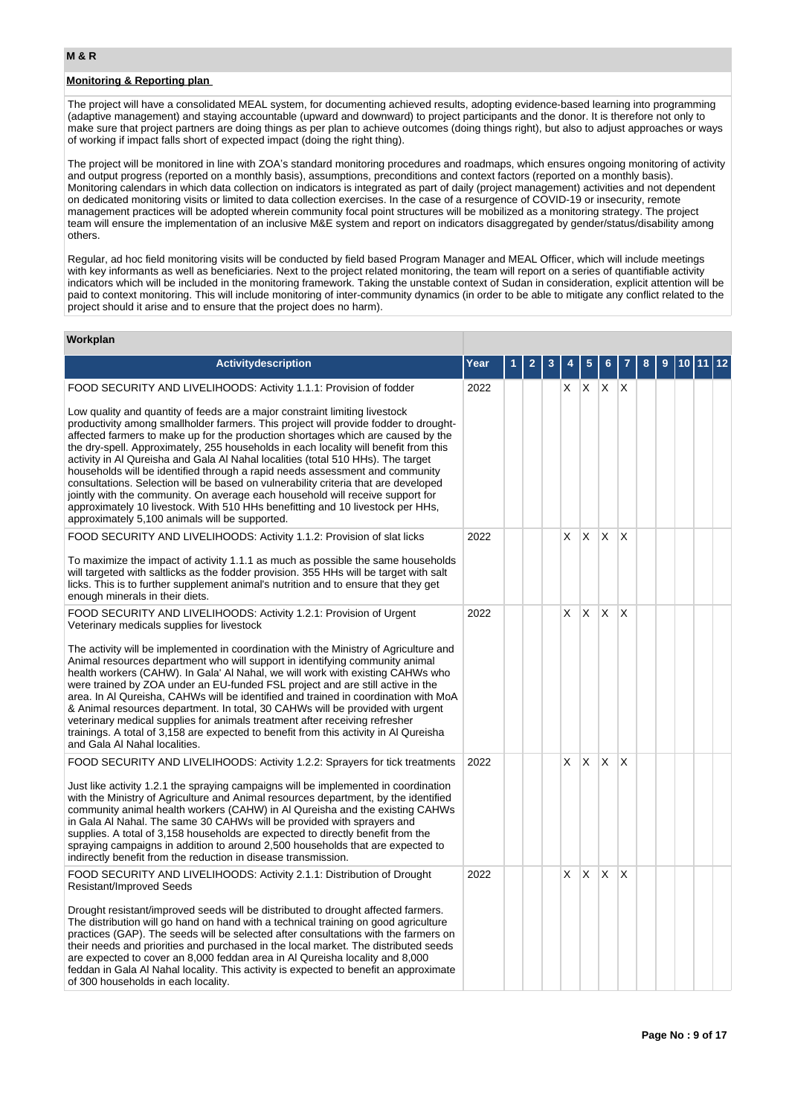**Workplan**

## **Monitoring & Reporting plan**

The project will have a consolidated MEAL system, for documenting achieved results, adopting evidence-based learning into programming (adaptive management) and staying accountable (upward and downward) to project participants and the donor. It is therefore not only to make sure that project partners are doing things as per plan to achieve outcomes (doing things right), but also to adjust approaches or ways of working if impact falls short of expected impact (doing the right thing).

The project will be monitored in line with ZOA's standard monitoring procedures and roadmaps, which ensures ongoing monitoring of activity and output progress (reported on a monthly basis), assumptions, preconditions and context factors (reported on a monthly basis). Monitoring calendars in which data collection on indicators is integrated as part of daily (project management) activities and not dependent on dedicated monitoring visits or limited to data collection exercises. In the case of a resurgence of COVID-19 or insecurity, remote management practices will be adopted wherein community focal point structures will be mobilized as a monitoring strategy. The project team will ensure the implementation of an inclusive M&E system and report on indicators disaggregated by gender/status/disability among others.

Regular, ad hoc field monitoring visits will be conducted by field based Program Manager and MEAL Officer, which will include meetings with key informants as well as beneficiaries. Next to the project related monitoring, the team will report on a series of quantifiable activity indicators which will be included in the monitoring framework. Taking the unstable context of Sudan in consideration, explicit attention will be paid to context monitoring. This will include monitoring of inter-community dynamics (in order to be able to mitigate any conflict related to the project should it arise and to ensure that the project does no harm).

| vv∪ı nµıaı ı                                                                                                                                                                                                                                                                                                                                                                                                                                                                                                                                                                                                                                                                                                                                                                                                                     |      |   |   |   |    |              |             |   |   |   |      |       |  |
|----------------------------------------------------------------------------------------------------------------------------------------------------------------------------------------------------------------------------------------------------------------------------------------------------------------------------------------------------------------------------------------------------------------------------------------------------------------------------------------------------------------------------------------------------------------------------------------------------------------------------------------------------------------------------------------------------------------------------------------------------------------------------------------------------------------------------------|------|---|---|---|----|--------------|-------------|---|---|---|------|-------|--|
| <b>Activity description</b>                                                                                                                                                                                                                                                                                                                                                                                                                                                                                                                                                                                                                                                                                                                                                                                                      | Year | 1 | 2 | 3 |    | 5            | 6           |   | 8 | 9 | 10 I | 11 12 |  |
| FOOD SECURITY AND LIVELIHOODS: Activity 1.1.1: Provision of fodder                                                                                                                                                                                                                                                                                                                                                                                                                                                                                                                                                                                                                                                                                                                                                               | 2022 |   |   |   | X. |              | $X$ $X$ $X$ |   |   |   |      |       |  |
| Low quality and quantity of feeds are a major constraint limiting livestock<br>productivity among smallholder farmers. This project will provide fodder to drought-<br>affected farmers to make up for the production shortages which are caused by the<br>the dry-spell. Approximately, 255 households in each locality will benefit from this<br>activity in AI Qureisha and Gala AI Nahal localities (total 510 HHs). The target<br>households will be identified through a rapid needs assessment and community<br>consultations. Selection will be based on vulnerability criteria that are developed<br>jointly with the community. On average each household will receive support for<br>approximately 10 livestock. With 510 HHs benefitting and 10 livestock per HHs,<br>approximately 5,100 animals will be supported. |      |   |   |   |    |              |             |   |   |   |      |       |  |
| FOOD SECURITY AND LIVELIHOODS: Activity 1.1.2: Provision of slat licks<br>To maximize the impact of activity 1.1.1 as much as possible the same households<br>will targeted with saltlicks as the fodder provision. 355 HHs will be target with salt<br>licks. This is to further supplement animal's nutrition and to ensure that they get<br>enough minerals in their diets.                                                                                                                                                                                                                                                                                                                                                                                                                                                   | 2022 |   |   |   | X  | X            | X           | X |   |   |      |       |  |
| FOOD SECURITY AND LIVELIHOODS: Activity 1.2.1: Provision of Urgent<br>Veterinary medicals supplies for livestock                                                                                                                                                                                                                                                                                                                                                                                                                                                                                                                                                                                                                                                                                                                 | 2022 |   |   |   | X  | $\times$     | X           | X |   |   |      |       |  |
| The activity will be implemented in coordination with the Ministry of Agriculture and<br>Animal resources department who will support in identifying community animal<br>health workers (CAHW). In Gala' Al Nahal, we will work with existing CAHWs who<br>were trained by ZOA under an EU-funded FSL project and are still active in the<br>area. In AI Qureisha, CAHWs will be identified and trained in coordination with MoA<br>& Animal resources department. In total, 30 CAHWs will be provided with urgent<br>veterinary medical supplies for animals treatment after receiving refresher<br>trainings. A total of 3,158 are expected to benefit from this activity in AI Qureisha<br>and Gala Al Nahal localities.                                                                                                      |      |   |   |   |    |              |             |   |   |   |      |       |  |
| FOOD SECURITY AND LIVELIHOODS: Activity 1.2.2: Sprayers for tick treatments<br>Just like activity 1.2.1 the spraying campaigns will be implemented in coordination<br>with the Ministry of Agriculture and Animal resources department, by the identified<br>community animal health workers (CAHW) in AI Qureisha and the existing CAHWs<br>in Gala AI Nahal. The same 30 CAHWs will be provided with sprayers and<br>supplies. A total of 3,158 households are expected to directly benefit from the<br>spraying campaigns in addition to around 2,500 households that are expected to<br>indirectly benefit from the reduction in disease transmission.                                                                                                                                                                       | 2022 |   |   |   | X  | <b>X</b>     | X           | X |   |   |      |       |  |
| FOOD SECURITY AND LIVELIHOODS: Activity 2.1.1: Distribution of Drought<br><b>Resistant/Improved Seeds</b><br>Drought resistant/improved seeds will be distributed to drought affected farmers.<br>The distribution will go hand on hand with a technical training on good agriculture<br>practices (GAP). The seeds will be selected after consultations with the farmers on<br>their needs and priorities and purchased in the local market. The distributed seeds<br>are expected to cover an 8,000 feddan area in AI Qureisha locality and 8,000                                                                                                                                                                                                                                                                              | 2022 |   |   |   | X  | $\mathsf{X}$ | X           | X |   |   |      |       |  |
| feddan in Gala Al Nahal locality. This activity is expected to benefit an approximate<br>of 300 households in each locality.                                                                                                                                                                                                                                                                                                                                                                                                                                                                                                                                                                                                                                                                                                     |      |   |   |   |    |              |             |   |   |   |      |       |  |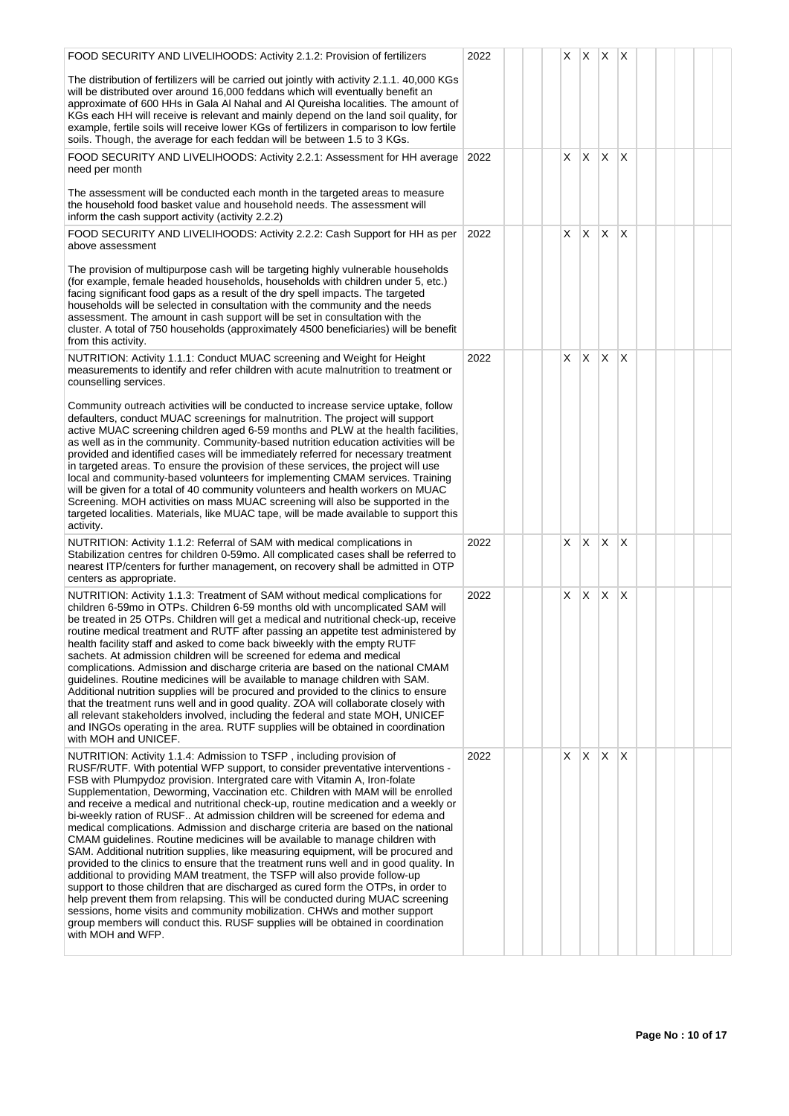| FOOD SECURITY AND LIVELIHOODS: Activity 2.1.2: Provision of fertilizers                                                                                                                                                                                                                                                                                                                                                                                                                                                                                                                                                                                                                                                                                                                                                                                                                                                                                                                                                                                                                                                                                                                                                                                                                         | 2022 |  | X. | $\mathsf{X}$ | $X$ $X$ |     |  |  |
|-------------------------------------------------------------------------------------------------------------------------------------------------------------------------------------------------------------------------------------------------------------------------------------------------------------------------------------------------------------------------------------------------------------------------------------------------------------------------------------------------------------------------------------------------------------------------------------------------------------------------------------------------------------------------------------------------------------------------------------------------------------------------------------------------------------------------------------------------------------------------------------------------------------------------------------------------------------------------------------------------------------------------------------------------------------------------------------------------------------------------------------------------------------------------------------------------------------------------------------------------------------------------------------------------|------|--|----|--------------|---------|-----|--|--|
| The distribution of fertilizers will be carried out jointly with activity 2.1.1. 40,000 KGs<br>will be distributed over around 16,000 feddans which will eventually benefit an<br>approximate of 600 HHs in Gala AI Nahal and AI Qureisha localities. The amount of<br>KGs each HH will receive is relevant and mainly depend on the land soil quality, for<br>example, fertile soils will receive lower KGs of fertilizers in comparison to low fertile<br>soils. Though, the average for each feddan will be between 1.5 to 3 KGs.                                                                                                                                                                                                                                                                                                                                                                                                                                                                                                                                                                                                                                                                                                                                                            |      |  |    |              |         |     |  |  |
| FOOD SECURITY AND LIVELIHOODS: Activity 2.2.1: Assessment for HH average<br>need per month                                                                                                                                                                                                                                                                                                                                                                                                                                                                                                                                                                                                                                                                                                                                                                                                                                                                                                                                                                                                                                                                                                                                                                                                      | 2022 |  | X  | X.           | X.      | ΙX. |  |  |
| The assessment will be conducted each month in the targeted areas to measure<br>the household food basket value and household needs. The assessment will<br>inform the cash support activity (activity 2.2.2)                                                                                                                                                                                                                                                                                                                                                                                                                                                                                                                                                                                                                                                                                                                                                                                                                                                                                                                                                                                                                                                                                   |      |  |    |              |         |     |  |  |
| FOOD SECURITY AND LIVELIHOODS: Activity 2.2.2: Cash Support for HH as per<br>above assessment                                                                                                                                                                                                                                                                                                                                                                                                                                                                                                                                                                                                                                                                                                                                                                                                                                                                                                                                                                                                                                                                                                                                                                                                   | 2022 |  | X  | X.           | X       | X   |  |  |
| The provision of multipurpose cash will be targeting highly vulnerable households<br>(for example, female headed households, households with children under 5, etc.)<br>facing significant food gaps as a result of the dry spell impacts. The targeted<br>households will be selected in consultation with the community and the needs<br>assessment. The amount in cash support will be set in consultation with the<br>cluster. A total of 750 households (approximately 4500 beneficiaries) will be benefit<br>from this activity.                                                                                                                                                                                                                                                                                                                                                                                                                                                                                                                                                                                                                                                                                                                                                          |      |  |    |              |         |     |  |  |
| NUTRITION: Activity 1.1.1: Conduct MUAC screening and Weight for Height<br>measurements to identify and refer children with acute malnutrition to treatment or<br>counselling services.                                                                                                                                                                                                                                                                                                                                                                                                                                                                                                                                                                                                                                                                                                                                                                                                                                                                                                                                                                                                                                                                                                         | 2022 |  | X. | X            | X.      | ΙX  |  |  |
| Community outreach activities will be conducted to increase service uptake, follow<br>defaulters, conduct MUAC screenings for malnutrition. The project will support<br>active MUAC screening children aged 6-59 months and PLW at the health facilities,<br>as well as in the community. Community-based nutrition education activities will be<br>provided and identified cases will be immediately referred for necessary treatment<br>in targeted areas. To ensure the provision of these services, the project will use<br>local and community-based volunteers for implementing CMAM services. Training<br>will be given for a total of 40 community volunteers and health workers on MUAC<br>Screening. MOH activities on mass MUAC screening will also be supported in the<br>targeted localities. Materials, like MUAC tape, will be made available to support this<br>activity.                                                                                                                                                                                                                                                                                                                                                                                                       |      |  |    |              |         |     |  |  |
| NUTRITION: Activity 1.1.2: Referral of SAM with medical complications in<br>Stabilization centres for children 0-59mo. All complicated cases shall be referred to<br>nearest ITP/centers for further management, on recovery shall be admitted in OTP<br>centers as appropriate.                                                                                                                                                                                                                                                                                                                                                                                                                                                                                                                                                                                                                                                                                                                                                                                                                                                                                                                                                                                                                | 2022 |  | X  | X            | X       | X   |  |  |
| NUTRITION: Activity 1.1.3: Treatment of SAM without medical complications for<br>children 6-59mo in OTPs. Children 6-59 months old with uncomplicated SAM will<br>be treated in 25 OTPs. Children will get a medical and nutritional check-up, receive<br>routine medical treatment and RUTF after passing an appetite test administered by<br>health facility staff and asked to come back biweekly with the empty RUTF<br>sachets. At admission children will be screened for edema and medical<br>complications. Admission and discharge criteria are based on the national CMAM<br>guidelines. Routine medicines will be available to manage children with SAM.<br>Additional nutrition supplies will be procured and provided to the clinics to ensure<br>that the treatment runs well and in good quality. ZOA will collaborate closely with<br>all relevant stakeholders involved, including the federal and state MOH, UNICEF<br>and INGOs operating in the area. RUTF supplies will be obtained in coordination<br>with MOH and UNICEF.                                                                                                                                                                                                                                                | 2022 |  | X  | X            | X       | X   |  |  |
| NUTRITION: Activity 1.1.4: Admission to TSFP, including provision of<br>RUSF/RUTF. With potential WFP support, to consider preventative interventions -<br>FSB with Plumpydoz provision. Intergrated care with Vitamin A, Iron-folate<br>Supplementation, Deworming, Vaccination etc. Children with MAM will be enrolled<br>and receive a medical and nutritional check-up, routine medication and a weekly or<br>bi-weekly ration of RUSF At admission children will be screened for edema and<br>medical complications. Admission and discharge criteria are based on the national<br>CMAM guidelines. Routine medicines will be available to manage children with<br>SAM. Additional nutrition supplies, like measuring equipment, will be procured and<br>provided to the clinics to ensure that the treatment runs well and in good quality. In<br>additional to providing MAM treatment, the TSFP will also provide follow-up<br>support to those children that are discharged as cured form the OTPs, in order to<br>help prevent them from relapsing. This will be conducted during MUAC screening<br>sessions, home visits and community mobilization. CHWs and mother support<br>group members will conduct this. RUSF supplies will be obtained in coordination<br>with MOH and WFP. | 2022 |  | X  | Χ            | X       | ΙX  |  |  |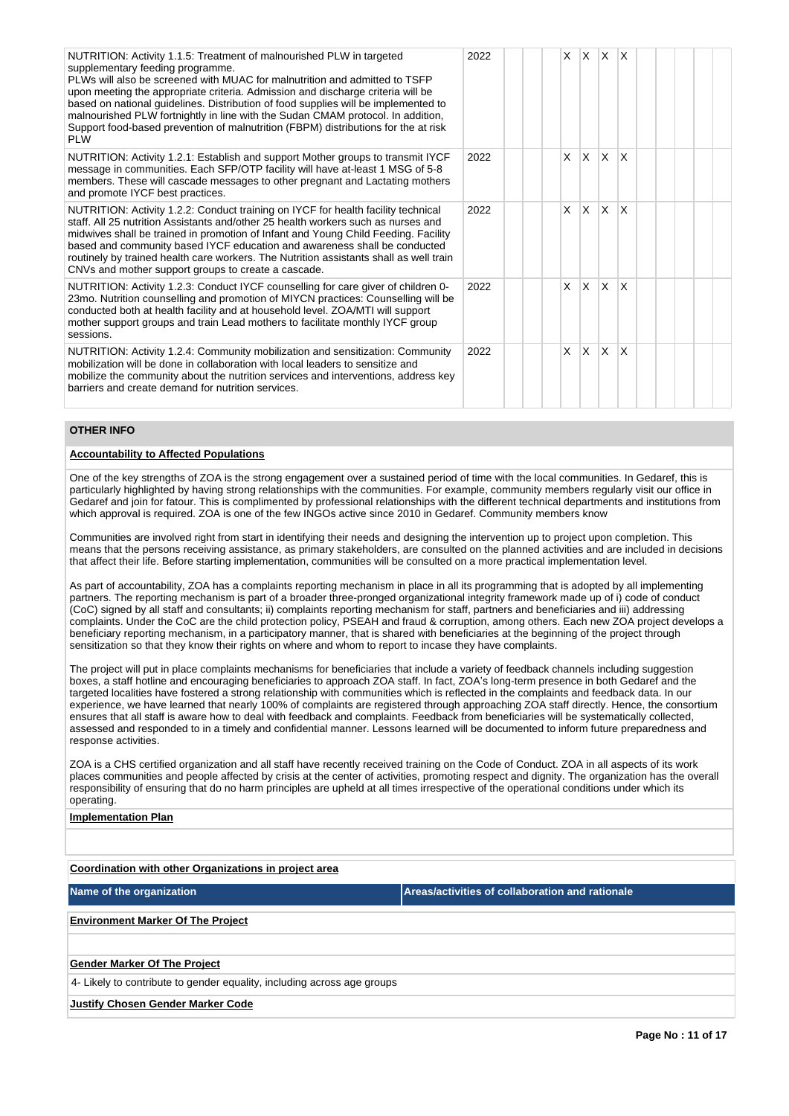| NUTRITION: Activity 1.1.5: Treatment of malnourished PLW in targeted<br>supplementary feeding programme.<br>PLWs will also be screened with MUAC for malnutrition and admitted to TSFP<br>upon meeting the appropriate criteria. Admission and discharge criteria will be<br>based on national guidelines. Distribution of food supplies will be implemented to<br>malnourished PLW fortnightly in line with the Sudan CMAM protocol. In addition,<br>Support food-based prevention of malnutrition (FBPM) distributions for the at risk<br>PI W | 2022 |  | X | ΙX.          | $\mathsf{X}$ | ΙX.                     |  |  |  |
|--------------------------------------------------------------------------------------------------------------------------------------------------------------------------------------------------------------------------------------------------------------------------------------------------------------------------------------------------------------------------------------------------------------------------------------------------------------------------------------------------------------------------------------------------|------|--|---|--------------|--------------|-------------------------|--|--|--|
| NUTRITION: Activity 1.2.1: Establish and support Mother groups to transmit IYCF<br>message in communities. Each SFP/OTP facility will have at-least 1 MSG of 5-8<br>members. These will cascade messages to other pregnant and Lactating mothers<br>and promote IYCF best practices.                                                                                                                                                                                                                                                             | 2022 |  | x | <sup>X</sup> | ΙX.          | X                       |  |  |  |
| NUTRITION: Activity 1.2.2: Conduct training on IYCF for health facility technical<br>staff. All 25 nutrition Assistants and/other 25 health workers such as nurses and<br>midwives shall be trained in promotion of Infant and Young Child Feeding. Facility<br>based and community based IYCF education and awareness shall be conducted<br>routinely by trained health care workers. The Nutrition assistants shall as well train<br>CNVs and mother support groups to create a cascade.                                                       | 2022 |  | X | X            | ΙX.          | $\overline{\mathsf{x}}$ |  |  |  |
| NUTRITION: Activity 1.2.3: Conduct IYCF counselling for care giver of children 0-<br>23mo. Nutrition counselling and promotion of MIYCN practices: Counselling will be<br>conducted both at health facility and at household level. ZOA/MTI will support<br>mother support groups and train Lead mothers to facilitate monthly IYCF group<br>sessions.                                                                                                                                                                                           | 2022 |  | X | X            | lx.          | $\overline{\mathsf{x}}$ |  |  |  |
| NUTRITION: Activity 1.2.4: Community mobilization and sensitization: Community<br>mobilization will be done in collaboration with local leaders to sensitize and<br>mobilize the community about the nutrition services and interventions, address key<br>barriers and create demand for nutrition services.                                                                                                                                                                                                                                     | 2022 |  | X | ΙX.          | lx.          | $\overline{\mathsf{x}}$ |  |  |  |

## **OTHER INFO**

#### **Accountability to Affected Populations**

One of the key strengths of ZOA is the strong engagement over a sustained period of time with the local communities. In Gedaref, this is particularly highlighted by having strong relationships with the communities. For example, community members regularly visit our office in Gedaref and join for fatour. This is complimented by professional relationships with the different technical departments and institutions from which approval is required. ZOA is one of the few INGOs active since 2010 in Gedaref. Community members know

Communities are involved right from start in identifying their needs and designing the intervention up to project upon completion. This means that the persons receiving assistance, as primary stakeholders, are consulted on the planned activities and are included in decisions that affect their life. Before starting implementation, communities will be consulted on a more practical implementation level.

As part of accountability, ZOA has a complaints reporting mechanism in place in all its programming that is adopted by all implementing partners. The reporting mechanism is part of a broader three-pronged organizational integrity framework made up of i) code of conduct (CoC) signed by all staff and consultants; ii) complaints reporting mechanism for staff, partners and beneficiaries and iii) addressing complaints. Under the CoC are the child protection policy, PSEAH and fraud & corruption, among others. Each new ZOA project develops a beneficiary reporting mechanism, in a participatory manner, that is shared with beneficiaries at the beginning of the project through sensitization so that they know their rights on where and whom to report to incase they have complaints.

The project will put in place complaints mechanisms for beneficiaries that include a variety of feedback channels including suggestion boxes, a staff hotline and encouraging beneficiaries to approach ZOA staff. In fact, ZOA's long-term presence in both Gedaref and the targeted localities have fostered a strong relationship with communities which is reflected in the complaints and feedback data. In our experience, we have learned that nearly 100% of complaints are registered through approaching ZOA staff directly. Hence, the consortium ensures that all staff is aware how to deal with feedback and complaints. Feedback from beneficiaries will be systematically collected, assessed and responded to in a timely and confidential manner. Lessons learned will be documented to inform future preparedness and response activities.

ZOA is a CHS certified organization and all staff have recently received training on the Code of Conduct. ZOA in all aspects of its work places communities and people affected by crisis at the center of activities, promoting respect and dignity. The organization has the overall responsibility of ensuring that do no harm principles are upheld at all times irrespective of the operational conditions under which its operating.

## **Implementation Plan**

**Coordination with other Organizations in project area**

**Name of the organization Areas/activities of collaboration and rationale** 

**Environment Marker Of The Project**

#### **Gender Marker Of The Project**

4- Likely to contribute to gender equality, including across age groups

**Justify Chosen Gender Marker Code**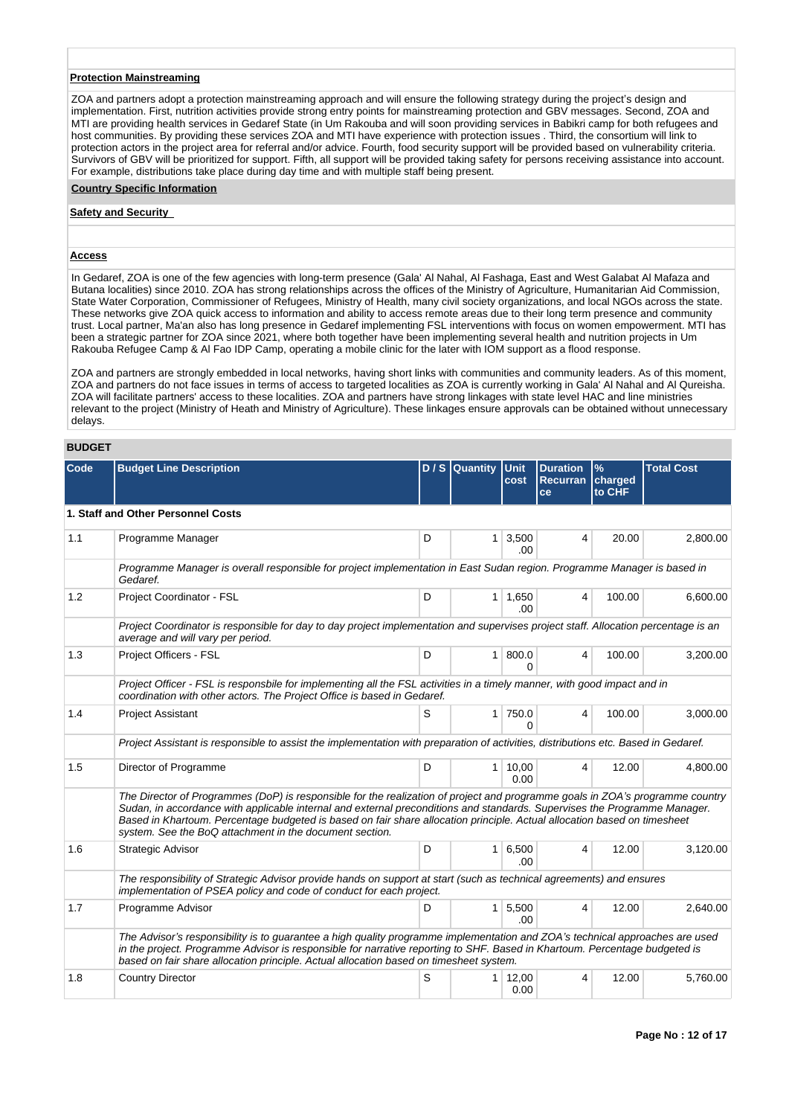## **Protection Mainstreaming**

ZOA and partners adopt a protection mainstreaming approach and will ensure the following strategy during the project's design and implementation. First, nutrition activities provide strong entry points for mainstreaming protection and GBV messages. Second, ZOA and MTI are providing health services in Gedaref State (in Um Rakouba and will soon providing services in Babikri camp for both refugees and host communities. By providing these services ZOA and MTI have experience with protection issues . Third, the consortium will link to protection actors in the project area for referral and/or advice. Fourth, food security support will be provided based on vulnerability criteria. Survivors of GBV will be prioritized for support. Fifth, all support will be provided taking safety for persons receiving assistance into account. For example, distributions take place during day time and with multiple staff being present.

#### **Country Specific Information**

#### **Safety and Security**

#### **Access**

In Gedaref, ZOA is one of the few agencies with long-term presence (Gala' Al Nahal, Al Fashaga, East and West Galabat Al Mafaza and Butana localities) since 2010. ZOA has strong relationships across the offices of the Ministry of Agriculture, Humanitarian Aid Commission, State Water Corporation, Commissioner of Refugees, Ministry of Health, many civil society organizations, and local NGOs across the state. These networks give ZOA quick access to information and ability to access remote areas due to their long term presence and community trust. Local partner, Ma'an also has long presence in Gedaref implementing FSL interventions with focus on women empowerment. MTI has been a strategic partner for ZOA since 2021, where both together have been implementing several health and nutrition projects in Um Rakouba Refugee Camp & Al Fao IDP Camp, operating a mobile clinic for the later with IOM support as a flood response.

ZOA and partners are strongly embedded in local networks, having short links with communities and community leaders. As of this moment, ZOA and partners do not face issues in terms of access to targeted localities as ZOA is currently working in Gala' Al Nahal and Al Qureisha. ZOA will facilitate partners' access to these localities. ZOA and partners have strong linkages with state level HAC and line ministries relevant to the project (Ministry of Heath and Ministry of Agriculture). These linkages ensure approvals can be obtained without unnecessary delays.

## **BUDGET**

| Code | <b>Budget Line Description</b>                                                                                                                                                                                                                                                                                                                                                                                                                    |   | $D / S$ Quantity | <b>Unit</b><br>cost    | <b>Duration</b><br>Recurran | $\%$<br>charged | <b>Total Cost</b> |
|------|---------------------------------------------------------------------------------------------------------------------------------------------------------------------------------------------------------------------------------------------------------------------------------------------------------------------------------------------------------------------------------------------------------------------------------------------------|---|------------------|------------------------|-----------------------------|-----------------|-------------------|
|      |                                                                                                                                                                                                                                                                                                                                                                                                                                                   |   |                  |                        | ce                          | to CHF          |                   |
|      | 1. Staff and Other Personnel Costs                                                                                                                                                                                                                                                                                                                                                                                                                |   |                  |                        |                             |                 |                   |
| 1.1  | Programme Manager                                                                                                                                                                                                                                                                                                                                                                                                                                 | D | 1 <sup>1</sup>   | 3,500<br>.00.          | 4                           | 20.00           | 2,800.00          |
|      | Programme Manager is overall responsible for project implementation in East Sudan region. Programme Manager is based in<br>Gedaref.                                                                                                                                                                                                                                                                                                               |   |                  |                        |                             |                 |                   |
| 1.2  | Project Coordinator - FSL                                                                                                                                                                                                                                                                                                                                                                                                                         | D |                  | $1 \mid 1,650$<br>.00. | 4                           | 100.00          | 6,600.00          |
|      | Project Coordinator is responsible for day to day project implementation and supervises project staff. Allocation percentage is an<br>average and will vary per period.                                                                                                                                                                                                                                                                           |   |                  |                        |                             |                 |                   |
| 1.3  | Project Officers - FSL                                                                                                                                                                                                                                                                                                                                                                                                                            | D | $\mathbf{1}$     | 800.0<br>U             | 4                           | 100.00          | 3,200.00          |
|      | Project Officer - FSL is responsbile for implementing all the FSL activities in a timely manner, with good impact and in<br>coordination with other actors. The Project Office is based in Gedaref.                                                                                                                                                                                                                                               |   |                  |                        |                             |                 |                   |
| 1.4  | <b>Project Assistant</b>                                                                                                                                                                                                                                                                                                                                                                                                                          | S | 1 <sup>1</sup>   | 750.0<br>U             | 4                           | 100.00          | 3.000.00          |
|      | Project Assistant is responsible to assist the implementation with preparation of activities, distributions etc. Based in Gedaref.                                                                                                                                                                                                                                                                                                                |   |                  |                        |                             |                 |                   |
| 1.5  | Director of Programme                                                                                                                                                                                                                                                                                                                                                                                                                             | D |                  | 1 10,00<br>0.00        | 4                           | 12.00           | 4,800.00          |
|      | The Director of Programmes (DoP) is responsible for the realization of project and programme goals in ZOA's programme country<br>Sudan, in accordance with applicable internal and external preconditions and standards. Supervises the Programme Manager.<br>Based in Khartoum. Percentage budgeted is based on fair share allocation principle. Actual allocation based on timesheet<br>system. See the BoQ attachment in the document section. |   |                  |                        |                             |                 |                   |
| 1.6  | Strategic Advisor                                                                                                                                                                                                                                                                                                                                                                                                                                 | D | 1 <sup>1</sup>   | 6,500<br>.00           | 4                           | 12.00           | 3,120.00          |
|      | The responsibility of Strategic Advisor provide hands on support at start (such as technical agreements) and ensures<br>implementation of PSEA policy and code of conduct for each project.                                                                                                                                                                                                                                                       |   |                  |                        |                             |                 |                   |
| 1.7  | Programme Advisor                                                                                                                                                                                                                                                                                                                                                                                                                                 | D |                  | 1 5,500<br>.00         | $\overline{4}$              | 12.00           | 2,640.00          |
|      | The Advisor's responsibility is to guarantee a high quality programme implementation and ZOA's technical approaches are used<br>in the project. Programme Advisor is responsible for narrative reporting to SHF. Based in Khartoum. Percentage budgeted is<br>based on fair share allocation principle. Actual allocation based on timesheet system.                                                                                              |   |                  |                        |                             |                 |                   |
| 1.8  | <b>Country Director</b>                                                                                                                                                                                                                                                                                                                                                                                                                           | S | $1 \mid$         | 12,00<br>0.00          | 4                           | 12.00           | 5,760.00          |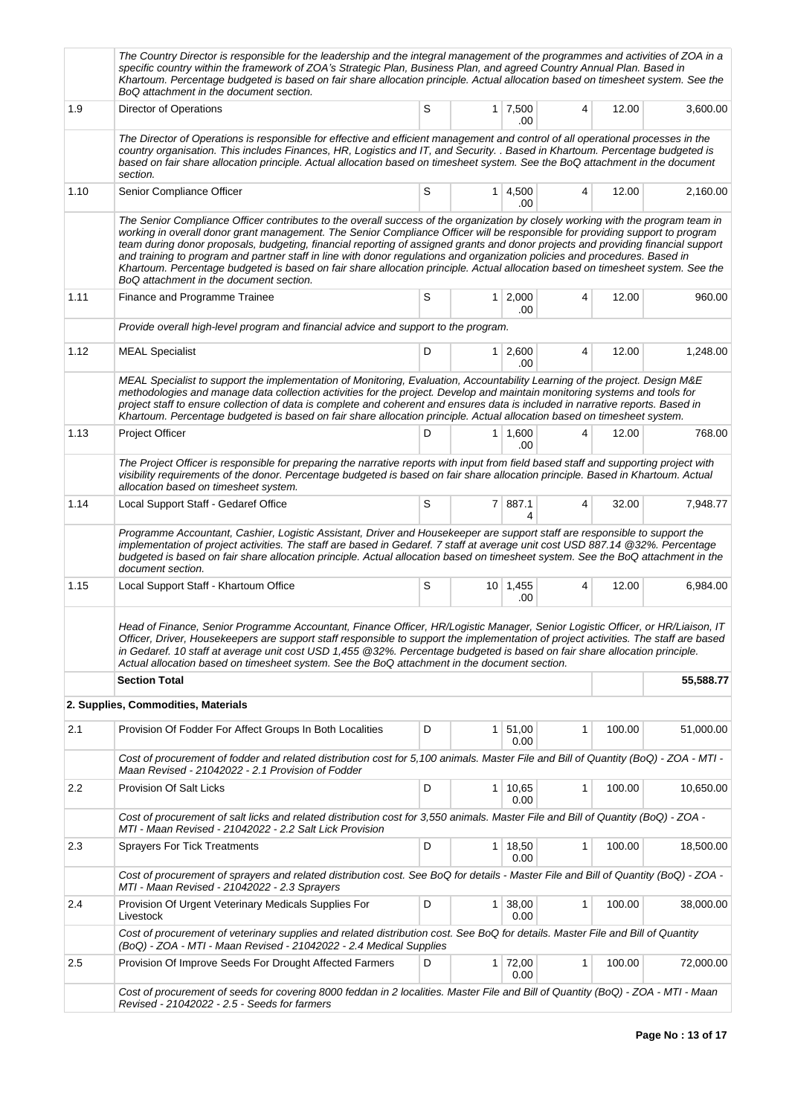|      | The Country Director is responsible for the leadership and the integral management of the programmes and activities of ZOA in a<br>specific country within the framework of ZOA's Strategic Plan, Business Plan, and agreed Country Annual Plan. Based in<br>Khartoum. Percentage budgeted is based on fair share allocation principle. Actual allocation based on timesheet system. See the<br>BoQ attachment in the document section.                                                                                                                                                                                                                                                                             |   |                |                            |   |        |           |
|------|---------------------------------------------------------------------------------------------------------------------------------------------------------------------------------------------------------------------------------------------------------------------------------------------------------------------------------------------------------------------------------------------------------------------------------------------------------------------------------------------------------------------------------------------------------------------------------------------------------------------------------------------------------------------------------------------------------------------|---|----------------|----------------------------|---|--------|-----------|
| 1.9  | Director of Operations                                                                                                                                                                                                                                                                                                                                                                                                                                                                                                                                                                                                                                                                                              | S |                | $1 \mid 7,500$<br>.00      | 4 | 12.00  | 3,600.00  |
|      | The Director of Operations is responsible for effective and efficient management and control of all operational processes in the<br>country organisation. This includes Finances, HR, Logistics and IT, and Security. . Based in Khartoum. Percentage budgeted is<br>based on fair share allocation principle. Actual allocation based on timesheet system. See the BoQ attachment in the document<br>section.                                                                                                                                                                                                                                                                                                      |   |                |                            |   |        |           |
| 1.10 | Senior Compliance Officer                                                                                                                                                                                                                                                                                                                                                                                                                                                                                                                                                                                                                                                                                           | S |                | 1 4,500<br>.00             | 4 | 12.00  | 2,160.00  |
|      | The Senior Compliance Officer contributes to the overall success of the organization by closely working with the program team in<br>working in overall donor grant management. The Senior Compliance Officer will be responsible for providing support to program<br>team during donor proposals, budgeting, financial reporting of assigned grants and donor projects and providing financial support<br>and training to program and partner staff in line with donor regulations and organization policies and procedures. Based in<br>Khartoum. Percentage budgeted is based on fair share allocation principle. Actual allocation based on timesheet system. See the<br>BoQ attachment in the document section. |   |                |                            |   |        |           |
| 1.11 | Finance and Programme Trainee                                                                                                                                                                                                                                                                                                                                                                                                                                                                                                                                                                                                                                                                                       | S | 1 <sup>1</sup> | 2,000<br>.00               | 4 | 12.00  | 960.00    |
|      | Provide overall high-level program and financial advice and support to the program.                                                                                                                                                                                                                                                                                                                                                                                                                                                                                                                                                                                                                                 |   |                |                            |   |        |           |
| 1.12 | <b>MEAL Specialist</b>                                                                                                                                                                                                                                                                                                                                                                                                                                                                                                                                                                                                                                                                                              | D |                | $1 \mid 2,600 \mid$<br>.00 | 4 | 12.00  | 1,248.00  |
|      | MEAL Specialist to support the implementation of Monitoring, Evaluation, Accountability Learning of the project. Design M&E<br>methodologies and manage data collection activities for the project. Develop and maintain monitoring systems and tools for<br>project staff to ensure collection of data is complete and coherent and ensures data is included in narrative reports. Based in<br>Khartoum. Percentage budgeted is based on fair share allocation principle. Actual allocation based on timesheet system.                                                                                                                                                                                             |   |                |                            |   |        |           |
| 1.13 | Project Officer                                                                                                                                                                                                                                                                                                                                                                                                                                                                                                                                                                                                                                                                                                     | D | 1 <sup>1</sup> | 1,600<br>.00               | 4 | 12.00  | 768.00    |
|      | The Project Officer is responsible for preparing the narrative reports with input from field based staff and supporting project with<br>visibility requirements of the donor. Percentage budgeted is based on fair share allocation principle. Based in Khartoum. Actual<br>allocation based on timesheet system.                                                                                                                                                                                                                                                                                                                                                                                                   |   |                |                            |   |        |           |
| 1.14 | Local Support Staff - Gedaref Office                                                                                                                                                                                                                                                                                                                                                                                                                                                                                                                                                                                                                                                                                | S |                | 7 887.1<br>4               | 4 | 32.00  | 7,948.77  |
|      | Programme Accountant, Cashier, Logistic Assistant, Driver and Housekeeper are support staff are responsible to support the<br>implementation of project activities. The staff are based in Gedaref. 7 staff at average unit cost USD 887.14 @32%. Percentage<br>budgeted is based on fair share allocation principle. Actual allocation based on timesheet system. See the BoQ attachment in the<br>document section.                                                                                                                                                                                                                                                                                               |   |                |                            |   |        |           |
| 1.15 | Local Support Staff - Khartoum Office                                                                                                                                                                                                                                                                                                                                                                                                                                                                                                                                                                                                                                                                               | S |                | $10 \mid 1,455$<br>.00     | 4 | 12.00  | 6,984.00  |
|      | Head of Finance, Senior Programme Accountant, Finance Officer, HR/Logistic Manager, Senior Logistic Officer, or HR/Liaison, IT<br>Officer, Driver, Housekeepers are support staff responsible to support the implementation of project activities. The staff are based<br>in Gedaref. 10 staff at average unit cost USD 1,455 @32%. Percentage budgeted is based on fair share allocation principle.<br>Actual allocation based on timesheet system. See the BoQ attachment in the document section.                                                                                                                                                                                                                |   |                |                            |   |        |           |
|      | <b>Section Total</b>                                                                                                                                                                                                                                                                                                                                                                                                                                                                                                                                                                                                                                                                                                |   |                |                            |   |        | 55,588.77 |
|      | 2. Supplies, Commodities, Materials                                                                                                                                                                                                                                                                                                                                                                                                                                                                                                                                                                                                                                                                                 |   |                |                            |   |        |           |
| 2.1  | Provision Of Fodder For Affect Groups In Both Localities                                                                                                                                                                                                                                                                                                                                                                                                                                                                                                                                                                                                                                                            | D | $\mathbf{1}$   | 51,00<br>0.00              | 1 | 100.00 | 51,000.00 |
|      | Cost of procurement of fodder and related distribution cost for 5,100 animals. Master File and Bill of Quantity (BoQ) - ZOA - MTI -<br>Maan Revised - 21042022 - 2.1 Provision of Fodder                                                                                                                                                                                                                                                                                                                                                                                                                                                                                                                            |   |                |                            |   |        |           |
| 2.2  | Provision Of Salt Licks                                                                                                                                                                                                                                                                                                                                                                                                                                                                                                                                                                                                                                                                                             | D |                | $1 \mid 10,65$<br>0.00     | 1 | 100.00 | 10,650.00 |
|      | Cost of procurement of salt licks and related distribution cost for 3,550 animals. Master File and Bill of Quantity (BoQ) - ZOA -<br>MTI - Maan Revised - 21042022 - 2.2 Salt Lick Provision                                                                                                                                                                                                                                                                                                                                                                                                                                                                                                                        |   |                |                            |   |        |           |
| 2.3  | <b>Sprayers For Tick Treatments</b>                                                                                                                                                                                                                                                                                                                                                                                                                                                                                                                                                                                                                                                                                 | D | $\mathbf 1$    | 18,50<br>0.00              | 1 | 100.00 | 18,500.00 |
|      | Cost of procurement of sprayers and related distribution cost. See BoQ for details - Master File and Bill of Quantity (BoQ) - ZOA -<br>MTI - Maan Revised - 21042022 - 2.3 Sprayers                                                                                                                                                                                                                                                                                                                                                                                                                                                                                                                                 |   |                |                            |   |        |           |
| 2.4  | Provision Of Urgent Veterinary Medicals Supplies For<br>Livestock                                                                                                                                                                                                                                                                                                                                                                                                                                                                                                                                                                                                                                                   | D | $\mathbf{1}$   | 38,00<br>0.00              | 1 | 100.00 | 38,000.00 |
|      | Cost of procurement of veterinary supplies and related distribution cost. See BoQ for details. Master File and Bill of Quantity<br>(BoQ) - ZOA - MTI - Maan Revised - 21042022 - 2.4 Medical Supplies                                                                                                                                                                                                                                                                                                                                                                                                                                                                                                               |   |                |                            |   |        |           |
| 2.5  | Provision Of Improve Seeds For Drought Affected Farmers                                                                                                                                                                                                                                                                                                                                                                                                                                                                                                                                                                                                                                                             | D |                | $1 \mid 72,00$<br>0.00     | 1 | 100.00 | 72,000.00 |
|      | Cost of procurement of seeds for covering 8000 feddan in 2 localities. Master File and Bill of Quantity (BoQ) - ZOA - MTI - Maan<br>Revised - 21042022 - 2.5 - Seeds for farmers                                                                                                                                                                                                                                                                                                                                                                                                                                                                                                                                    |   |                |                            |   |        |           |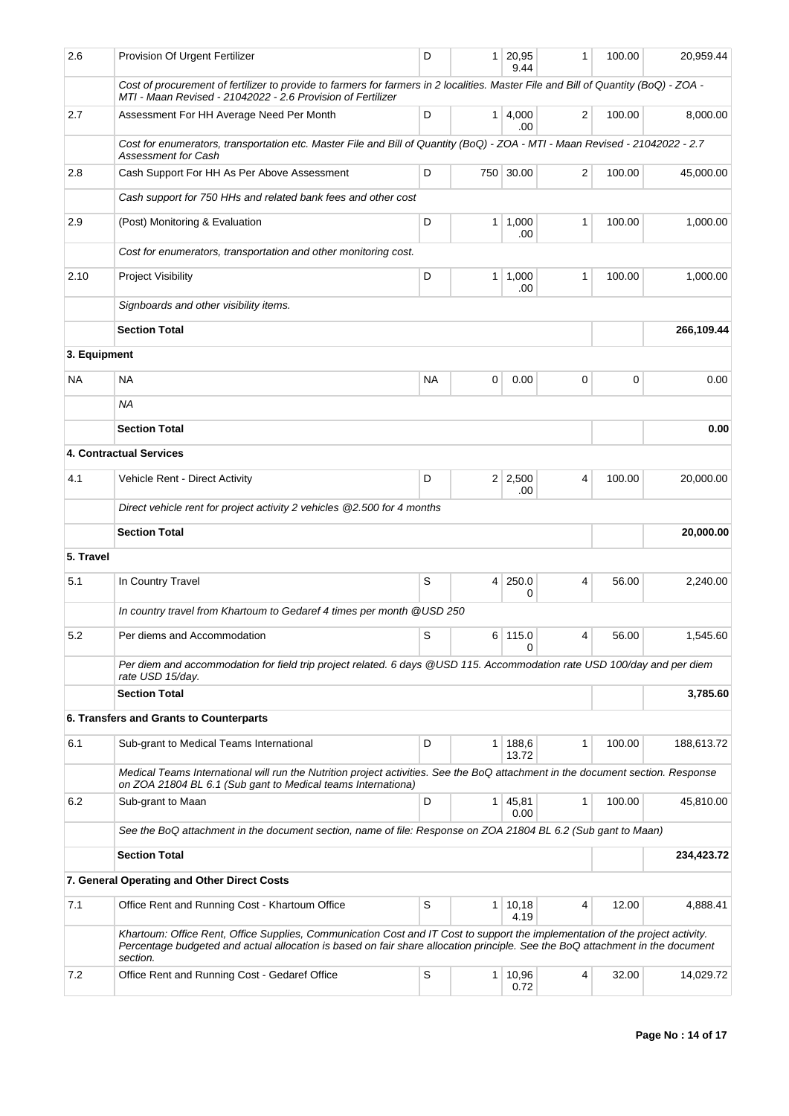| 2.6          | Provision Of Urgent Fertilizer                                                                                                                                                                                                                                             | D           | $\mathbf 1$    | 20,95<br>9.44         | 1              | 100.00 | 20,959.44  |
|--------------|----------------------------------------------------------------------------------------------------------------------------------------------------------------------------------------------------------------------------------------------------------------------------|-------------|----------------|-----------------------|----------------|--------|------------|
|              | Cost of procurement of fertilizer to provide to farmers for farmers in 2 localities. Master File and Bill of Quantity (BoQ) - ZOA -<br>MTI - Maan Revised - 21042022 - 2.6 Provision of Fertilizer                                                                         |             |                |                       |                |        |            |
| 2.7          | Assessment For HH Average Need Per Month                                                                                                                                                                                                                                   | D           | 1 <sup>1</sup> | 4,000<br>.00          | $\overline{2}$ | 100.00 | 8,000.00   |
|              | Cost for enumerators, transportation etc. Master File and Bill of Quantity (BoQ) - ZOA - MTI - Maan Revised - 21042022 - 2.7<br><b>Assessment for Cash</b>                                                                                                                 |             |                |                       |                |        |            |
| 2.8          | Cash Support For HH As Per Above Assessment                                                                                                                                                                                                                                | D           | 750            | 30.00                 | 2              | 100.00 | 45,000.00  |
|              | Cash support for 750 HHs and related bank fees and other cost                                                                                                                                                                                                              |             |                |                       |                |        |            |
| 2.9          | (Post) Monitoring & Evaluation                                                                                                                                                                                                                                             | D           |                | $1 \mid 1,000$<br>.00 | 1              | 100.00 | 1,000.00   |
|              | Cost for enumerators, transportation and other monitoring cost.                                                                                                                                                                                                            |             |                |                       |                |        |            |
| 2.10         | <b>Project Visibility</b>                                                                                                                                                                                                                                                  | D           | 1              | 1,000<br>.00          | 1              | 100.00 | 1,000.00   |
|              | Signboards and other visibility items.                                                                                                                                                                                                                                     |             |                |                       |                |        |            |
|              | <b>Section Total</b>                                                                                                                                                                                                                                                       |             |                |                       |                |        | 266,109.44 |
| 3. Equipment |                                                                                                                                                                                                                                                                            |             |                |                       |                |        |            |
| NA.          | <b>NA</b>                                                                                                                                                                                                                                                                  | <b>NA</b>   | 0              | 0.00                  | 0              | 0      | 0.00       |
|              | NA                                                                                                                                                                                                                                                                         |             |                |                       |                |        |            |
|              | <b>Section Total</b>                                                                                                                                                                                                                                                       |             |                |                       |                |        | 0.00       |
|              | <b>4. Contractual Services</b>                                                                                                                                                                                                                                             |             |                |                       |                |        |            |
| 4.1          | Vehicle Rent - Direct Activity                                                                                                                                                                                                                                             | D           |                | $2 \mid 2,500$<br>.00 | 4              | 100.00 | 20,000.00  |
|              | Direct vehicle rent for project activity 2 vehicles @2.500 for 4 months                                                                                                                                                                                                    |             |                |                       |                |        |            |
|              | <b>Section Total</b>                                                                                                                                                                                                                                                       |             |                |                       |                |        | 20,000.00  |
| 5. Travel    |                                                                                                                                                                                                                                                                            |             |                |                       |                |        |            |
| 5.1          | In Country Travel                                                                                                                                                                                                                                                          | S           | $\overline{4}$ | 250.0<br>0            | 4              | 56.00  | 2,240.00   |
|              | In country travel from Khartoum to Gedaref 4 times per month @USD 250                                                                                                                                                                                                      |             |                |                       |                |        |            |
| 5.2          | Per diems and Accommodation                                                                                                                                                                                                                                                | $\mathsf S$ |                | 6 115.0               | 4              | 56.00  | 1,545.60   |
|              | Per diem and accommodation for field trip project related. 6 days @USD 115. Accommodation rate USD 100/day and per diem                                                                                                                                                    |             |                | 0                     |                |        |            |
|              | rate USD 15/day.<br><b>Section Total</b>                                                                                                                                                                                                                                   |             |                |                       |                |        | 3,785.60   |
|              | 6. Transfers and Grants to Counterparts                                                                                                                                                                                                                                    |             |                |                       |                |        |            |
| 6.1          | Sub-grant to Medical Teams International                                                                                                                                                                                                                                   | D           | $\mathbf{1}$   | 188,6                 | $\mathbf{1}$   | 100.00 | 188,613.72 |
|              | Medical Teams International will run the Nutrition project activities. See the BoQ attachment in the document section. Response                                                                                                                                            |             |                | 13.72                 |                |        |            |
|              | on ZOA 21804 BL 6.1 (Sub gant to Medical teams Internationa)                                                                                                                                                                                                               |             |                |                       |                |        |            |
| 6.2          | Sub-grant to Maan                                                                                                                                                                                                                                                          | D           | 1 <sup>1</sup> | 45,81<br>0.00         | 1              | 100.00 | 45,810.00  |
|              | See the BoQ attachment in the document section, name of file: Response on ZOA 21804 BL 6.2 (Sub gant to Maan)                                                                                                                                                              |             |                |                       |                |        |            |
|              | <b>Section Total</b>                                                                                                                                                                                                                                                       |             |                |                       |                |        | 234,423.72 |
|              | 7. General Operating and Other Direct Costs                                                                                                                                                                                                                                |             |                |                       |                |        |            |
| 7.1          | Office Rent and Running Cost - Khartoum Office                                                                                                                                                                                                                             | S           | 1 <sup>1</sup> | 10,18<br>4.19         | 4              | 12.00  | 4,888.41   |
|              | Khartoum: Office Rent, Office Supplies, Communication Cost and IT Cost to support the implementation of the project activity.<br>Percentage budgeted and actual allocation is based on fair share allocation principle. See the BoQ attachment in the document<br>section. |             |                |                       |                |        |            |
| 7.2          | Office Rent and Running Cost - Gedaref Office                                                                                                                                                                                                                              | S           | 1 <sup>1</sup> | 10,96<br>0.72         | 4              | 32.00  | 14,029.72  |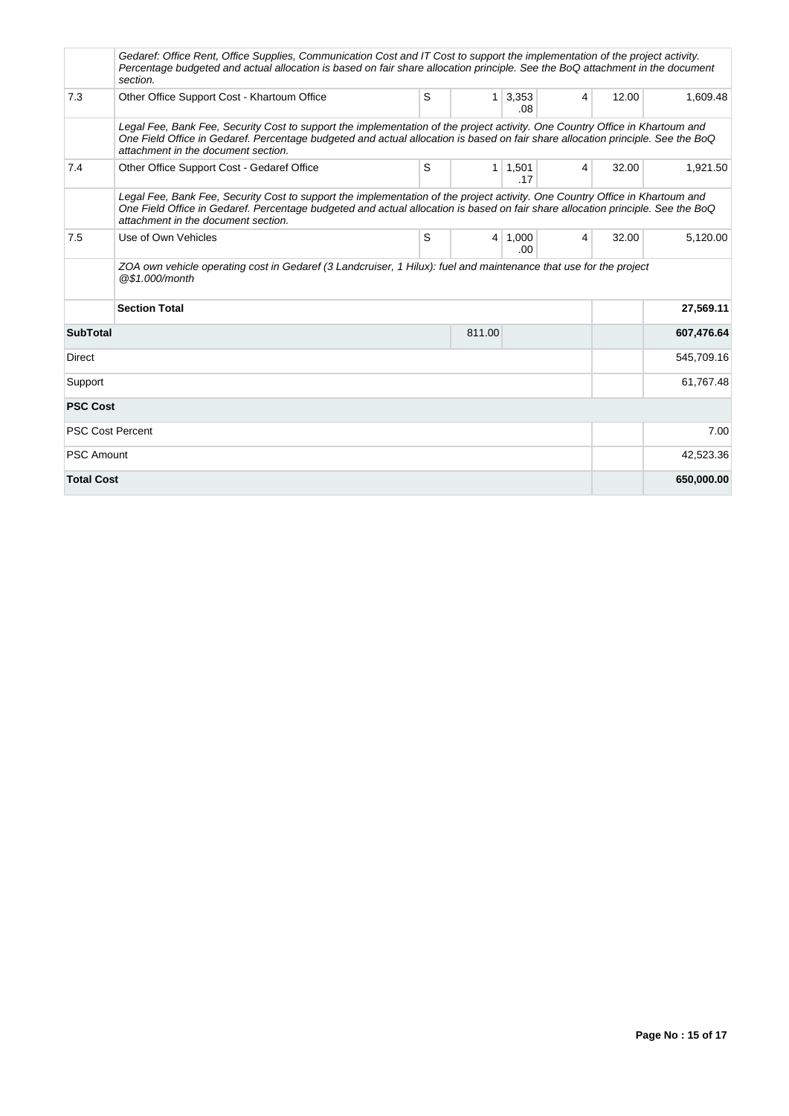|                         | Gedaref: Office Rent, Office Supplies, Communication Cost and IT Cost to support the implementation of the project activity.<br>Percentage budgeted and actual allocation is based on fair share allocation principle. See the BoQ attachment in the document<br>section.                              |   |                |                              |                |       |            |
|-------------------------|--------------------------------------------------------------------------------------------------------------------------------------------------------------------------------------------------------------------------------------------------------------------------------------------------------|---|----------------|------------------------------|----------------|-------|------------|
| 7.3                     | Other Office Support Cost - Khartoum Office                                                                                                                                                                                                                                                            | S |                | $1 \overline{)3,353}$<br>.08 | 4              | 12.00 | 1,609.48   |
|                         | Legal Fee, Bank Fee, Security Cost to support the implementation of the project activity. One Country Office in Khartoum and<br>One Field Office in Gedaref. Percentage budgeted and actual allocation is based on fair share allocation principle. See the BoQ<br>attachment in the document section. |   |                |                              |                |       |            |
| 7.4                     | Other Office Support Cost - Gedaref Office                                                                                                                                                                                                                                                             | S |                | $1 \mid 1,501$<br>.17        | $\overline{4}$ | 32.00 | 1,921.50   |
|                         | Legal Fee, Bank Fee, Security Cost to support the implementation of the project activity. One Country Office in Khartoum and<br>One Field Office in Gedaref. Percentage budgeted and actual allocation is based on fair share allocation principle. See the BoQ<br>attachment in the document section. |   |                |                              |                |       |            |
| 7.5                     | Use of Own Vehicles                                                                                                                                                                                                                                                                                    | S | 4 <sup>1</sup> | 1.000<br>.00.                | 4              | 32.00 | 5,120.00   |
|                         | ZOA own vehicle operating cost in Gedaref (3 Landcruiser, 1 Hilux): fuel and maintenance that use for the project<br>@\$1.000/month                                                                                                                                                                    |   |                |                              |                |       |            |
|                         | <b>Section Total</b>                                                                                                                                                                                                                                                                                   |   |                |                              |                |       | 27,569.11  |
| <b>SubTotal</b>         |                                                                                                                                                                                                                                                                                                        |   | 811.00         |                              |                |       | 607,476.64 |
| Direct                  |                                                                                                                                                                                                                                                                                                        |   |                |                              |                |       | 545,709.16 |
| Support                 |                                                                                                                                                                                                                                                                                                        |   |                |                              |                |       | 61,767.48  |
| <b>PSC Cost</b>         |                                                                                                                                                                                                                                                                                                        |   |                |                              |                |       |            |
| <b>PSC Cost Percent</b> |                                                                                                                                                                                                                                                                                                        |   |                |                              |                |       | 7.00       |
| <b>PSC Amount</b>       |                                                                                                                                                                                                                                                                                                        |   |                |                              |                |       | 42,523.36  |
| <b>Total Cost</b>       |                                                                                                                                                                                                                                                                                                        |   |                |                              |                |       | 650,000.00 |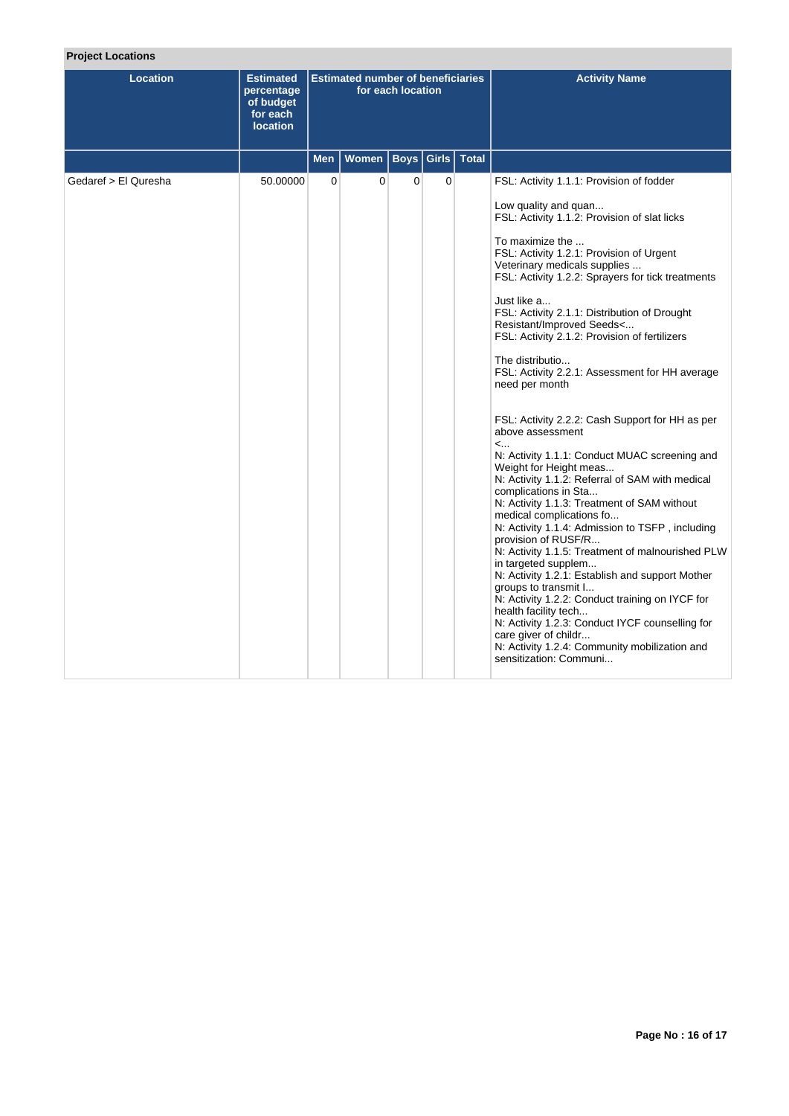| <b>Project Locations</b> |                                                                            |                                                               |              |             |             |              |                                                                                                                                                                                                                                                                                                                                                                                                                                                                                                                                                                                                                                                                                                                                                                                                                                                                                                                                                                                                                                                                                                                                                                                                                                                                                            |
|--------------------------|----------------------------------------------------------------------------|---------------------------------------------------------------|--------------|-------------|-------------|--------------|--------------------------------------------------------------------------------------------------------------------------------------------------------------------------------------------------------------------------------------------------------------------------------------------------------------------------------------------------------------------------------------------------------------------------------------------------------------------------------------------------------------------------------------------------------------------------------------------------------------------------------------------------------------------------------------------------------------------------------------------------------------------------------------------------------------------------------------------------------------------------------------------------------------------------------------------------------------------------------------------------------------------------------------------------------------------------------------------------------------------------------------------------------------------------------------------------------------------------------------------------------------------------------------------|
| Location                 | <b>Estimated</b><br>percentage<br>of budget<br>for each<br><b>location</b> | <b>Estimated number of beneficiaries</b><br>for each location |              |             |             |              | <b>Activity Name</b>                                                                                                                                                                                                                                                                                                                                                                                                                                                                                                                                                                                                                                                                                                                                                                                                                                                                                                                                                                                                                                                                                                                                                                                                                                                                       |
|                          |                                                                            | <b>Men</b>                                                    | <b>Women</b> | <b>Boys</b> | Girls       | <b>Total</b> |                                                                                                                                                                                                                                                                                                                                                                                                                                                                                                                                                                                                                                                                                                                                                                                                                                                                                                                                                                                                                                                                                                                                                                                                                                                                                            |
| Gedaref > El Quresha     | 50.00000                                                                   | 0                                                             | 0            | 0           | $\mathbf 0$ |              | FSL: Activity 1.1.1: Provision of fodder<br>Low quality and quan<br>FSL: Activity 1.1.2: Provision of slat licks<br>To maximize the<br>FSL: Activity 1.2.1: Provision of Urgent<br>Veterinary medicals supplies<br>FSL: Activity 1.2.2: Sprayers for tick treatments<br>Just like a<br>FSL: Activity 2.1.1: Distribution of Drought<br>Resistant/Improved Seeds<<br>FSL: Activity 2.1.2: Provision of fertilizers<br>The distributio<br>FSL: Activity 2.2.1: Assessment for HH average<br>need per month<br>FSL: Activity 2.2.2: Cash Support for HH as per<br>above assessment<br>$\lt$<br>N: Activity 1.1.1: Conduct MUAC screening and<br>Weight for Height meas<br>N: Activity 1.1.2: Referral of SAM with medical<br>complications in Sta<br>N: Activity 1.1.3: Treatment of SAM without<br>medical complications fo<br>N: Activity 1.1.4: Admission to TSFP, including<br>provision of RUSF/R<br>N: Activity 1.1.5: Treatment of malnourished PLW<br>in targeted supplem<br>N: Activity 1.2.1: Establish and support Mother<br>groups to transmit I<br>N: Activity 1.2.2: Conduct training on IYCF for<br>health facility tech<br>N: Activity 1.2.3: Conduct IYCF counselling for<br>care giver of childr<br>N: Activity 1.2.4: Community mobilization and<br>sensitization: Communi |